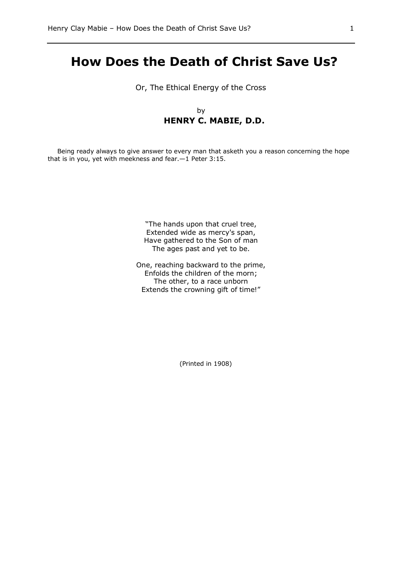# **How Does the Death of Christ Save Us?**

Or, The Ethical Energy of the Cross

by **HENRY C. MABIE, D.D.**

Being ready always to give answer to every man that asketh you a reason concerning the hope that is in you, yet with meekness and fear.—1 Peter 3:15.

> "The hands upon that cruel tree, Extended wide as mercy's span, Have gathered to the Son of man The ages past and yet to be.

One, reaching backward to the prime, Enfolds the children of the morn; The other, to a race unborn Extends the crowning gift of time!"

(Printed in 1908)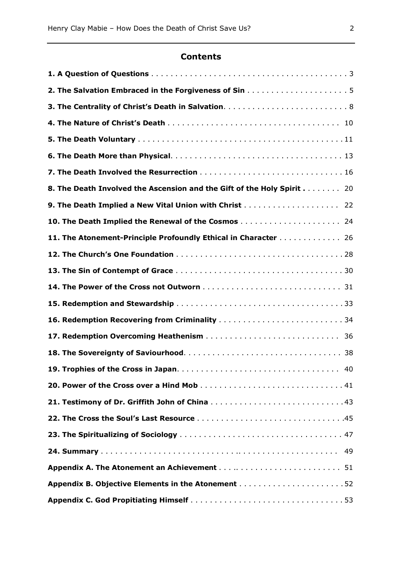# **Contents**

| 8. The Death Involved the Ascension and the Gift of the Holy Spirit 20 |
|------------------------------------------------------------------------|
| 9. The Death Implied a New Vital Union with Christ  22                 |
|                                                                        |
| 11. The Atonement-Principle Profoundly Ethical in Character 26         |
|                                                                        |
|                                                                        |
|                                                                        |
|                                                                        |
| 16. Redemption Recovering from Criminality 34                          |
|                                                                        |
|                                                                        |
|                                                                        |
|                                                                        |
| 21. Testimony of Dr. Griffith John of China 43                         |
|                                                                        |
|                                                                        |
| 49                                                                     |
|                                                                        |
|                                                                        |
|                                                                        |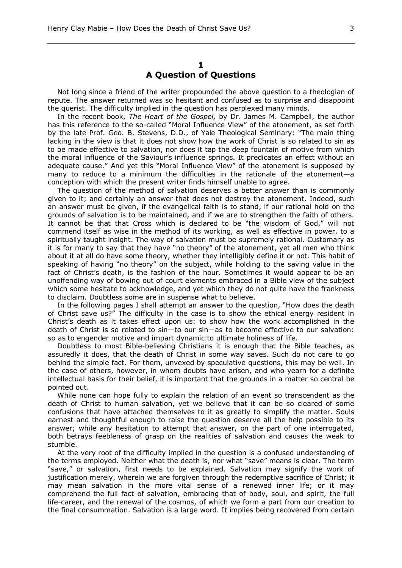#### **1 A Question of Questions**

Not long since a friend of the writer propounded the above question to a theologian of repute. The answer returned was so hesitant and confused as to surprise and disappoint the querist. The difficulty implied in the question has perplexed many minds.

In the recent book, *The Heart of the Gospel,* by Dr. James M. Campbell, the author has this reference to the so-called "Moral Influence View" of the atonement, as set forth by the late Prof. Geo. B. Stevens, D.D., of Yale Theological Seminary: "The main thing lacking in the view is that it does not show how the work of Christ is so related to sin as to be made effective to salvation, nor does it tap the deep fountain of motive from which the moral influence of the Saviour's influence springs. It predicates an effect without an adequate cause." And yet this "Moral Influence View" of the atonement is supposed by many to reduce to a minimum the difficulties in the rationale of the atonement—a conception with which the present writer finds himself unable to agree.

The question of the method of salvation deserves a better answer than is commonly given to it; and certainly an answer that does not destroy the atonement. Indeed, such an answer must be given, if the evangelical faith is to stand, if our rational hold on the grounds of salvation is to be maintained, and if we are to strengthen the faith of others. It cannot be that that Cross which is declared to be "the wisdom of God," will not commend itself as wise in the method of its working, as well as effective in power, to a spiritually taught insight. The way of salvation must be supremely rational. Customary as it is for many to say that they have "no theory" of the atonement, yet all men who think about it at all do have some theory, whether they intelligibly define it or not. This habit of speaking of having "no theory" on the subject, while holding to the saving value in the fact of Christ's death, is the fashion of the hour. Sometimes it would appear to be an unoffending way of bowing out of court elements embraced in a Bible view of the subject which some hesitate to acknowledge, and yet which they do not quite have the frankness to disclaim. Doubtless some are in suspense what to believe.

In the following pages I shall attempt an answer to the question, "How does the death of Christ save us?" The difficulty in the case is to show the ethical energy resident in Christ's death as it takes effect upon us: to show how the work accomplished in the death of Christ is so related to sin—to our sin—as to become effective to our salvation: so as to engender motive and impart dynamic to ultimate holiness of life.

Doubtless to most Bible-believing Christians it is enough that the Bible teaches, as assuredly it does, that the death of Christ in some way saves. Such do not care to go behind the simple fact. For them, unvexed by speculative questions, this may be well. In the case of others, however, in whom doubts have arisen, and who yearn for a definite intellectual basis for their belief, it is important that the grounds in a matter so central be pointed out.

While none can hope fully to explain the relation of an event so transcendent as the death of Christ to human salvation, yet we believe that it can be so cleared of some confusions that have attached themselves to it as greatly to simplify the matter. Souls earnest and thoughtful enough to raise the question deserve all the help possible to its answer; while any hesitation to attempt that answer, on the part of one interrogated, both betrays feebleness of grasp on the realities of salvation and causes the weak to stumble.

At the very root of the difficulty implied in the question is a confused understanding of the terms employed. Neither what the death is, nor what "save" means is clear. The term "save," or salvation, first needs to be explained. Salvation may signify the work of justification merely, wherein we are forgiven through the redemptive sacrifice of Christ; it may mean salvation in the more vital sense of a renewed inner life; or it may comprehend the full fact of salvation, embracing that of body, soul, and spirit, the full life-career, and the renewal of the cosmos, of which we form a part from our creation to the final consummation. Salvation is a large word. It implies being recovered from certain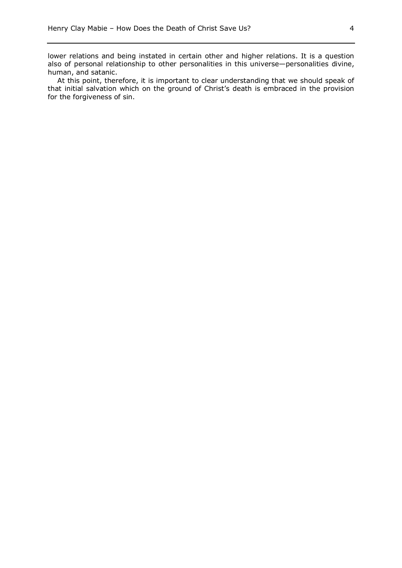lower relations and being instated in certain other and higher relations. It is a question also of personal relationship to other personalities in this universe—personalities divine, human, and satanic.

At this point, therefore, it is important to clear understanding that we should speak of that initial salvation which on the ground of Christ's death is embraced in the provision for the forgiveness of sin.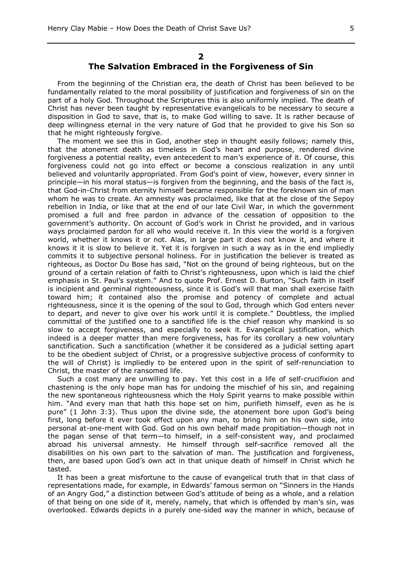#### **2**

# **The Salvation Embraced in the Forgiveness of Sin**

From the beginning of the Christian era, the death of Christ has been believed to be fundamentally related to the moral possibility of justification and forgiveness of sin on the part of a holy God. Throughout the Scriptures this is also uniformly implied. The death of Christ has never been taught by representative evangelicals to be necessary to secure a disposition in God to save, that is, to make God willing to save. It is rather because of deep willingness eternal in the very nature of God that he provided to give his Son so that he might righteously forgive.

The moment we see this in God, another step in thought easily follows; namely this, that the atonement death as timeless in God's heart and purpose, rendered divine forgiveness a potential reality, even antecedent to man's experience of it. Of course, this forgiveness could not go into effect or become a conscious realization in any until believed and voluntarily appropriated. From God's point of view, however, every sinner in principle—in his moral status—is forgiven from the beginning, and the basis of the fact is, that God-in-Christ from eternity himself became responsible for the foreknown sin of man whom he was to create. An amnesty was proclaimed, like that at the close of the Sepoy rebellion in India, or like that at the end of our late Civil War, in which the government promised a full and free pardon in advance of the cessation of opposition to the government's authority. On account of God's work in Christ he provided, and in various ways proclaimed pardon for all who would receive it. In this view the world is a forgiven world, whether it knows it or not. Alas, in large part it does not know it, and where it knows it it is slow to believe it. Yet it is forgiven in such a way as in the end impliedly commits it to subjective personal holiness. For in justification the believer is treated as righteous, as Doctor Du Bose has said, "Not on the ground of being righteous, but on the ground of a certain relation of faith to Christ's righteousness, upon which is laid the chief emphasis in St. Paul's system." And to quote Prof. Ernest D. Burton, "Such faith in itself is incipient and germinal righteousness, since it is God's will that man shall exercise faith toward him; it contained also the promise and potency of complete and actual righteousness, since it is the opening of the soul to God, through which God enters never to depart, and never to give over his work until it is complete." Doubtless, the implied committal of the justified one to a sanctified life is the chief reason why mankind is so slow to accept forgiveness, and especially to seek it. Evangelical justification, which indeed is a deeper matter than mere forgiveness, has for its corollary a new voluntary sanctification. Such a sanctification (whether it be considered as a judicial setting apart to be the obedient subject of Christ, or a progressive subjective process of conformity to the will of Christ) is impliedly to be entered upon in the spirit of self-renunciation to Christ, the master of the ransomed life.

Such a cost many are unwilling to pay. Yet this cost in a life of self-crucifixion and chastening is the only hope man has for undoing the mischief of his sin, and regaining the new spontaneous righteousness which the Holy Spirit yearns to make possible within him. "And every man that hath this hope set on him, purifieth himself, even as he is pure" (1 John 3:3). Thus upon the divine side, the atonement bore upon God's being first, long before it ever took effect upon any man, to bring him on his own side, into personal at-one-ment with God. God on his own behalf made propitiation—though not in the pagan sense of that term—to himself, in a self-consistent way, and proclaimed abroad his universal amnesty. He himself through self-sacrifice removed all the disabilities on his own part to the salvation of man. The justification and forgiveness, then, are based upon God's own act in that unique death of himself in Christ which he tasted.

It has been a great misfortune to the cause of evangelical truth that in that class of representations made, for example, in Edwards' famous sermon on "Sinners in the Hands of an Angry God," a distinction between God's attitude of being as a whole, and a relation of that being on one side of it, merely, namely, that which is offended by man's sin, was overlooked. Edwards depicts in a purely one-sided way the manner in which, because of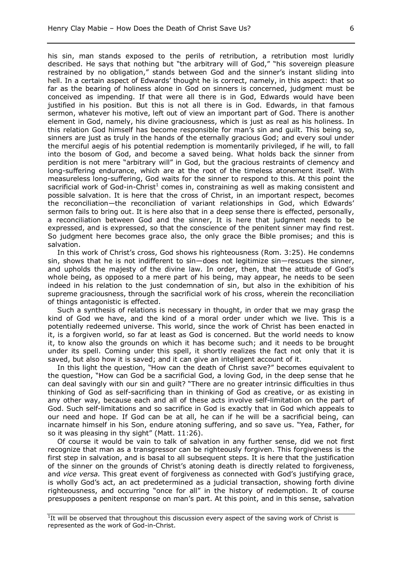his sin, man stands exposed to the perils of retribution, a retribution most luridly described. He says that nothing but "the arbitrary will of God," "his sovereign pleasure restrained by no obligation," stands between God and the sinner's instant sliding into hell. In a certain aspect of Edwards' thought he is correct, namely, in this aspect: that so far as the bearing of holiness alone in God on sinners is concerned, judgment must be conceived as impending. If that were all there is in God, Edwards would have been justified in his position. But this is not all there is in God. Edwards, in that famous sermon, whatever his motive, left out of view an important part of God. There is another element in God, namely, his divine graciousness, which is just as real as his holiness. In this relation God himself has become responsible for man's sin and guilt. This being so, sinners are just as truly in the hands of the eternally gracious God; and every soul under the merciful aegis of his potential redemption is momentarily privileged, if he will, to fall into the bosom of God, and become a saved being. What holds back the sinner from perdition is not mere "arbitrary will" in God, but the gracious restraints of clemency and long-suffering endurance, which are at the root of the timeless atonement itself. With measureless long-suffering, God waits for the sinner to respond to this. At this point the sacrificial work of God-in-Christ<sup>1</sup> comes in, constraining as well as making consistent and possible salvation. It is here that the cross of Christ, in an important respect, becomes the reconciliation—the reconciliation of variant relationships in God, which Edwards' sermon fails to bring out. It is here also that in a deep sense there is effected, personally, a reconciliation between God and the sinner, It is here that judgment needs to be expressed, and is expressed, so that the conscience of the penitent sinner may find rest. So judgment here becomes grace also, the only grace the Bible promises; and this is salvation.

In this work of Christ's cross, God shows his righteousness (Rom. 3:25). He condemns sin, shows that he is not indifferent to sin—does not legitimize sin—rescues the sinner, and upholds the majesty of the divine law. In order, then, that the attitude of God's whole being, as opposed to a mere part of his being, may appear, he needs to be seen indeed in his relation to the just condemnation of sin, but also in the exhibition of his supreme graciousness, through the sacrificial work of his cross, wherein the reconciliation of things antagonistic is effected.

Such a synthesis of relations is necessary in thought, in order that we may grasp the kind of God we have, and the kind of a moral order under which we live. This is a potentially redeemed universe. This world, since the work of Christ has been enacted in it, is a forgiven world, so far at least as God is concerned. But the world needs to know it, to know also the grounds on which it has become such; and it needs to be brought under its spell. Coming under this spell, it shortly realizes the fact not only that it is saved, but also how it is saved; and it can give an intelligent account of it.

In this light the question, "How can the death of Christ save?" becomes equivalent to the question, "How can God be a sacrificial God, a loving God, in the deep sense that he can deal savingly with our sin and guilt? "There are no greater intrinsic difficulties in thus thinking of God as self-sacrificing than in thinking of God as creative, or as existing in any other way, because each and all of these acts involve self-limitation on the part of God. Such self-limitations and so sacrifice in God is exactly that in God which appeals to our need and hope. If God can be at all, he can if he will be a sacrificial being, can incarnate himself in his Son, endure atoning suffering, and so save us. "Yea, Father, for so it was pleasing in thy sight" (Matt. 11:26).

Of course it would be vain to talk of salvation in any further sense, did we not first recognize that man as a transgressor can be righteously forgiven. This forgiveness is the first step in salvation, and is basal to all subsequent steps. It is here that the justification of the sinner on the grounds of Christ's atoning death is directly related to forgiveness, and *vice versa.* This great event of forgiveness as connected with God's justifying grace, is wholly God's act, an act predetermined as a judicial transaction, showing forth divine righteousness, and occurring "once for all" in the history of redemption. It of course presupposes a penitent response on man's part. At this point, and in this sense, salvation

<sup>&</sup>lt;sup>1</sup>It will be observed that throughout this discussion every aspect of the saving work of Christ is represented as the work of God-in-Christ.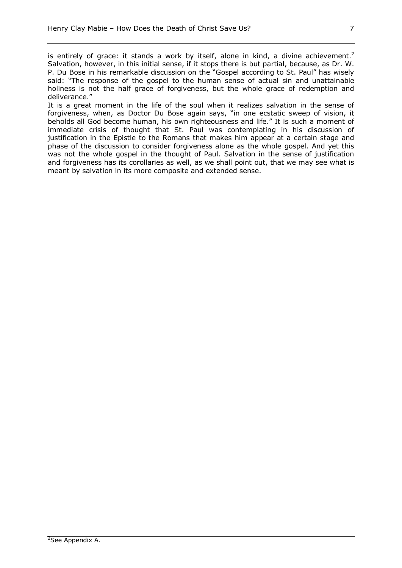is entirely of grace: it stands a work by itself, alone in kind, a divine achievement.<sup>2</sup> Salvation, however, in this initial sense, if it stops there is but partial, because, as Dr. W. P. Du Bose in his remarkable discussion on the "Gospel according to St. Paul" has wisely said: "The response of the gospel to the human sense of actual sin and unattainable holiness is not the half grace of forgiveness, but the whole grace of redemption and deliverance."

It is a great moment in the life of the soul when it realizes salvation in the sense of forgiveness, when, as Doctor Du Bose again says, "in one ecstatic sweep of vision, it beholds all God become human, his own righteousness and life." It is such a moment of immediate crisis of thought that St. Paul was contemplating in his discussion of justification in the Epistle to the Romans that makes him appear at a certain stage and phase of the discussion to consider forgiveness alone as the whole gospel. And yet this was not the whole gospel in the thought of Paul. Salvation in the sense of justification and forgiveness has its corollaries as well, as we shall point out, that we may see what is meant by salvation in its more composite and extended sense.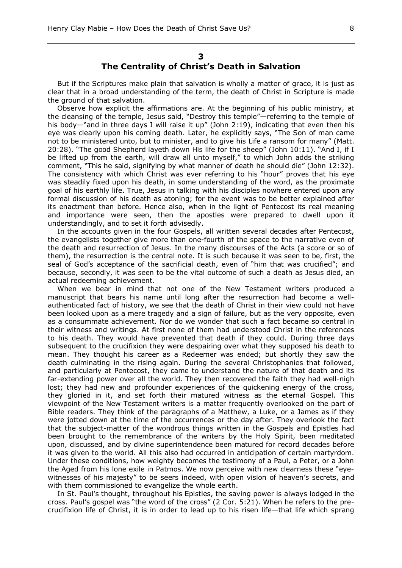#### **3**

# **The Centrality of Christ's Death in Salvation**

But if the Scriptures make plain that salvation is wholly a matter of grace, it is just as clear that in a broad understanding of the term, the death of Christ in Scripture is made the ground of that salvation.

Observe how explicit the affirmations are. At the beginning of his public ministry, at the cleansing of the temple, Jesus said, "Destroy this temple"—referring to the temple of his body—"and in three days I will raise it up" (John 2:19), indicating that even then his eye was clearly upon his coming death. Later, he explicitly says, "The Son of man came not to be ministered unto, but to minister, and to give his Life a ransom for many" (Matt. 20:28). "The good Shepherd layeth down His life for the sheep" (John 10:11). "And I, if I be lifted up from the earth, will draw all unto myself," to which John adds the striking comment, "This he said, signifying by what manner of death he should die" (John 12:32). The consistency with which Christ was ever referring to his "hour" proves that his eye was steadily fixed upon his death, in some understanding of the word, as the proximate goal of his earthly life. True, Jesus in talking with his disciples nowhere entered upon any formal discussion of his death as atoning; for the event was to be better explained after its enactment than before. Hence also, when in the light of Pentecost its real meaning and importance were seen, then the apostles were prepared to dwell upon it understandingly, and to set it forth advisedly.

In the accounts given in the four Gospels, all written several decades after Pentecost, the evangelists together give more than one-fourth of the space to the narrative even of the death and resurrection of Jesus. In the many discourses of the Acts (a score or so of them), the resurrection is the central note. It is such because it was seen to be, first, the seal of God's acceptance of the sacrificial death, even of "him that was crucified"; and because, secondly, it was seen to be the vital outcome of such a death as Jesus died, an actual redeeming achievement.

When we bear in mind that not one of the New Testament writers produced a manuscript that bears his name until long after the resurrection had become a wellauthenticated fact of history, we see that the death of Christ in their view could not have been looked upon as a mere tragedy and a sign of failure, but as the very opposite, even as a consummate achievement. Nor do we wonder that such a fact became so central in their witness and writings. At first none of them had understood Christ in the references to his death. They would have prevented that death if they could. During three days subsequent to the crucifixion they were despairing over what they supposed his death to mean. They thought his career as a Redeemer was ended; but shortly they saw the death culminating in the rising again. During the several Christophanies that followed, and particularly at Pentecost, they came to understand the nature of that death and its far-extending power over all the world. They then recovered the faith they had well-nigh lost; they had new and profounder experiences of the quickening energy of the cross, they gloried in it, and set forth their matured witness as the eternal Gospel. This viewpoint of the New Testament writers is a matter frequently overlooked on the part of Bible readers. They think of the paragraphs of a Matthew, a Luke, or a James as if they were jotted down at the time of the occurrences or the day after. They overlook the fact that the subject-matter of the wondrous things written in the Gospels and Epistles had been brought to the remembrance of the writers by the Holy Spirit, been meditated upon, discussed, and by divine superintendence been matured for record decades before it was given to the world. All this also had occurred in anticipation of certain martyrdom. Under these conditions, how weighty becomes the testimony of a Paul, a Peter, or a John the Aged from his lone exile in Patmos. We now perceive with new clearness these "eyewitnesses of his majesty" to be seers indeed, with open vision of heaven's secrets, and with them commissioned to evangelize the whole earth.

In St. Paul's thought, throughout his Epistles, the saving power is always lodged in the cross. Paul's gospel was "the word of the cross" (2 Cor. 5:21). When he refers to the precrucifixion life of Christ, it is in order to lead up to his risen life—that life which sprang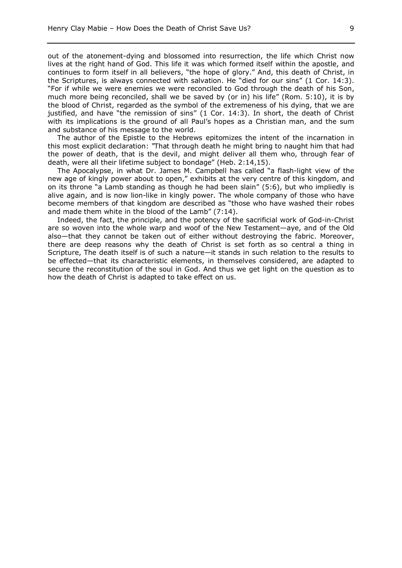out of the atonement-dying and blossomed into resurrection, the life which Christ now lives at the right hand of God. This life it was which formed itself within the apostle, and continues to form itself in all believers, "the hope of glory." And, this death of Christ, in the Scriptures, is always connected with salvation. He "died for our sins" (1 Cor. 14:3). "For if while we were enemies we were reconciled to God through the death of his Son, much more being reconciled, shall we be saved by (or in) his life" (Rom. 5:10), it is by the blood of Christ, regarded as the symbol of the extremeness of his dying, that we are justified, and have "the remission of sins" (1 Cor. 14:3). In short, the death of Christ with its implications is the ground of all Paul's hopes as a Christian man, and the sum and substance of his message to the world.

The author of the Epistle to the Hebrews epitomizes the intent of the incarnation in this most explicit declaration: *"*That through death he might bring to naught him that had the power of death, that is the devil, and might deliver all them who, through fear of death, were all their lifetime subject to bondage" (Heb. 2:14,15).

The Apocalypse, in what Dr. James M. Campbell has called "a flash-light view of the new age of kingly power about to open," exhibits at the very centre of this kingdom, and on its throne "a Lamb standing as though he had been slain" (5:6), but who impliedly is alive again, and is now lion-like in kingly power. The whole company of those who have become members of that kingdom are described as "those who have washed their robes and made them white in the blood of the Lamb" (7:14).

Indeed, the fact, the principle, and the potency of the sacrificial work of God-in-Christ are so woven into the whole warp and woof of the New Testament—aye, and of the Old also—that they cannot be taken out of either without destroying the fabric. Moreover, there are deep reasons why the death of Christ is set forth as so central a thing in Scripture, The death itself is of such a nature—it stands in such relation to the results to be effected—that its characteristic elements, in themselves considered, are adapted to secure the reconstitution of the soul in God. And thus we get light on the question as to how the death of Christ is adapted to take effect on us.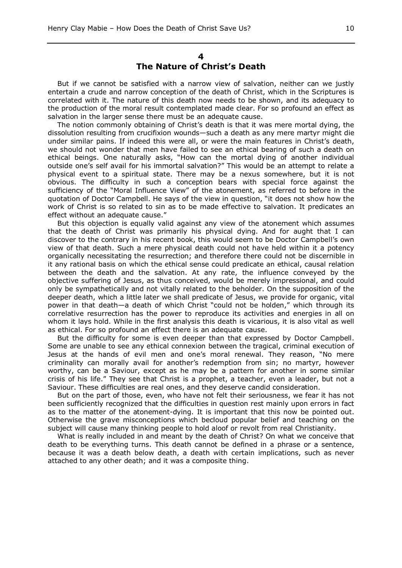#### **4 The Nature of Christ's Death**

But if we cannot be satisfied with a narrow view of salvation, neither can we justly entertain a crude and narrow conception of the death of Christ, which in the Scriptures is correlated with it. The nature of this death now needs to be shown, and its adequacy to the production of the moral result contemplated made clear. For so profound an effect as salvation in the larger sense there must be an adequate cause.

The notion commonly obtaining of Christ's death is that it was mere mortal dying, the dissolution resulting from crucifixion wounds—such a death as any mere martyr might die under similar pains. If indeed this were all, or were the main features in Christ's death, we should not wonder that men have failed to see an ethical bearing of such a death on ethical beings. One naturally asks, "How can the mortal dying of another individual outside one's self avail for his immortal salvation?" This would be an attempt to relate a physical event to a spiritual state. There may be a nexus somewhere, but it is not obvious. The difficulty in such a conception bears with special force against the sufficiency of the "Moral Influence View" of the atonement, as referred to before in the quotation of Doctor Campbell. He says of the view in question, "it does not show how the work of Christ is so related to sin as to be made effective to salvation. It predicates an effect without an adequate cause."

But this objection is equally valid against any view of the atonement which assumes that the death of Christ was primarily his physical dying. And for aught that I can discover to the contrary in his recent book, this would seem to be Doctor Campbell's own view of that death. Such a mere physical death could not have held within it a potency organically necessitating the resurrection; and therefore there could not be discernible in it any rational basis on which the ethical sense could predicate an ethical, causal relation between the death and the salvation. At any rate, the influence conveyed by the objective suffering of Jesus, as thus conceived, would be merely impressional, and could only be sympathetically and not vitally related to the beholder. On the supposition of the deeper death, which a little later we shall predicate of Jesus, we provide for organic, vital power in that death—a death of which Christ "could not be holden," which through its correlative resurrection has the power to reproduce its activities and energies in all on whom it lays hold. While in the first analysis this death is vicarious, it is also vital as well as ethical. For so profound an effect there is an adequate cause.

But the difficulty for some is even deeper than that expressed by Doctor Campbell. Some are unable to see any ethical connexion between the tragical, criminal execution of Jesus at the hands of evil men and one's moral renewal. They reason, "No mere criminality can morally avail for another's redemption from sin; no martyr, however worthy, can be a Saviour, except as he may be a pattern for another in some similar crisis of his life." They see that Christ is a prophet, a teacher, even a leader, but not a Saviour. These difficulties are real ones, and they deserve candid consideration.

But on the part of those, even, who have not felt their seriousness, we fear it has not been sufficiently recognized that the difficulties in question rest mainly upon errors in fact as to the matter of the atonement-dying. It is important that this now be pointed out. Otherwise the grave misconceptions which becloud popular belief and teaching on the subject will cause many thinking people to hold aloof or revolt from real Christianity.

What is really included in and meant by the death of Christ? On what we conceive that death to be everything turns. This death cannot be defined in a phrase or a sentence, because it was a death below death, a death with certain implications, such as never attached to any other death; and it was a composite thing.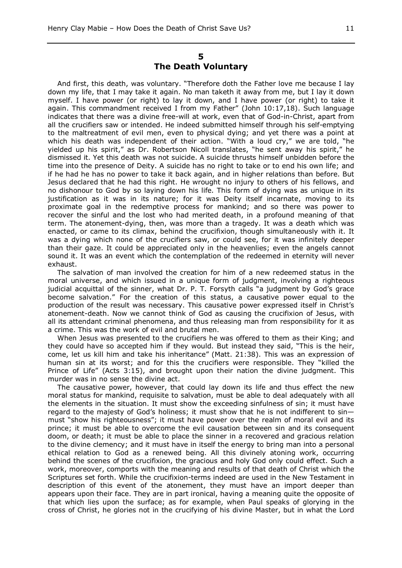## **5 The Death Voluntary**

And first, this death, was voluntary. "Therefore doth the Father love me because I lay down my life, that I may take it again. No man taketh it away from me, but I lay it down myself. I have power (or right) to lay it down, and I have power (or right) to take it again. This commandment received I from my Father" (John 10:17,18). Such language indicates that there was a divine free-will at work, even that of God-in-Christ, apart from all the crucifiers saw or intended. He indeed submitted himself through his self-emptying to the maltreatment of evil men, even to physical dying; and yet there was a point at which his death was independent of their action. "With a loud cry," we are told, "he yielded up his spirit," as Dr. Robertson Nicoll translates, "he sent away his spirit," he dismissed it. Yet this death was not suicide. A suicide thrusts himself unbidden before the time into the presence of Deity. A suicide has no right to take or to end his own life; and if he had he has no power to take it back again, and in higher relations than before. But Jesus declared that he had this right. He wrought no injury to others of his fellows, and no dishonour to God by so laying down his life. This form of dying was as unique in its justification as it was in its nature; for it was Deity itself incarnate, moving to its proximate goal in the redemptive process for mankind; and so there was power to recover the sinful and the lost who had merited death, in a profound meaning of that term. The atonement-dying, then, was more than a tragedy. It was a death which was enacted, or came to its climax, behind the crucifixion, though simultaneously with it. It was a dying which none of the crucifiers saw, or could see, for it was infinitely deeper than their gaze. It could be appreciated only in the heavenlies; even the angels cannot sound it. It was an event which the contemplation of the redeemed in eternity will never exhaust.

The salvation of man involved the creation for him of a new redeemed status in the moral universe, and which issued in a unique form of judgment, involving a righteous judicial acquittal of the sinner, what Dr. P. T. Forsyth calls "a judgment by God's grace become salvation." For the creation of this status, a causative power equal to the production of the result was necessary. This causative power expressed itself in Christ's atonement-death. Now we cannot think of God as causing the crucifixion of Jesus, with all its attendant criminal phenomena, and thus releasing man from responsibility for it as a crime. This was the work of evil and brutal men.

When Jesus was presented to the crucifiers he was offered to them as their King; and they could have so accepted him if they would. But instead they said, "This is the heir, come, let us kill him and take his inheritance" (Matt. 21:38). This was an expression of human sin at its worst; and for this the crucifiers were responsible. They "killed the Prince of Life" (Acts 3:15), and brought upon their nation the divine judgment. This murder was in no sense the divine act.

The causative power, however, that could lay down its life and thus effect the new moral status for mankind, requisite to salvation, must be able to deal adequately with all the elements in the situation. It must show the exceeding sinfulness of sin; it must have regard to the majesty of God's holiness; it must show that he is not indifferent to sin must "show his righteousness"; it must have power over the realm of moral evil and its prince; it must be able to overcome the evil causation between sin and its consequent doom, or death; it must be able to place the sinner in a recovered and gracious relation to the divine clemency; and it must have in itself the energy to bring man into a personal ethical relation to God as a renewed being. All this divinely atoning work, occurring behind the scenes of the crucifixion, the gracious and holy God only could effect. Such a work, moreover, comports with the meaning and results of that death of Christ which the Scriptures set forth. While the crucifixion-terms indeed are used in the New Testament in description of this event of the atonement, they must have an import deeper than appears upon their face. They are in part ironical, having a meaning quite the opposite of that which lies upon the surface; as for example, when Paul speaks of glorying in the cross of Christ, he glories not in the crucifying of his divine Master, but in what the Lord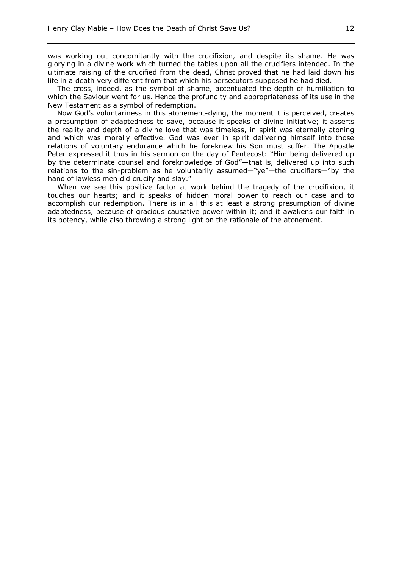was working out concomitantly with the crucifixion, and despite its shame. He was glorying in a divine work which turned the tables upon all the crucifiers intended. In the ultimate raising of the crucified from the dead, Christ proved that he had laid down his life in a death very different from that which his persecutors supposed he had died.

The cross, indeed, as the symbol of shame, accentuated the depth of humiliation to which the Saviour went for us. Hence the profundity and appropriateness of its use in the New Testament as a symbol of redemption.

Now God's voluntariness in this atonement-dying, the moment it is perceived, creates a presumption of adaptedness to save, because it speaks of divine initiative; it asserts the reality and depth of a divine love that was timeless, in spirit was eternally atoning and which was morally effective. God was ever in spirit delivering himself into those relations of voluntary endurance which he foreknew his Son must suffer. The Apostle Peter expressed it thus in his sermon on the day of Pentecost: "Him being delivered up by the determinate counsel and foreknowledge of God"—that is, delivered up into such relations to the sin-problem as he voluntarily assumed—"ye"—the crucifiers—"by the hand of lawless men did crucify and slay."

When we see this positive factor at work behind the tragedy of the crucifixion, it touches our hearts; and it speaks of hidden moral power to reach our case and to accomplish our redemption. There is in all this at least a strong presumption of divine adaptedness, because of gracious causative power within it; and it awakens our faith in its potency, while also throwing a strong light on the rationale of the atonement.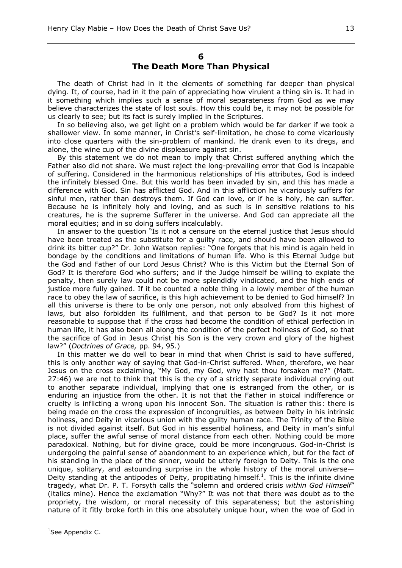## **6 The Death More Than Physical**

The death of Christ had in it the elements of something far deeper than physical dying. It, of course, had in it the pain of appreciating how virulent a thing sin is. It had in it something which implies such a sense of moral separateness from God as we may believe characterizes the state of lost souls. How this could be, it may not be possible for us clearly to see; but its fact is surely implied in the Scriptures.

In so believing also, we get light on a problem which would be far darker if we took a shallower view. In some manner, in Christ's self-limitation, he chose to come vicariously into close quarters with the sin-problem of mankind. He drank even to its dregs, and alone, the wine cup of the divine displeasure against sin.

By this statement we do not mean to imply that Christ suffered anything which the Father also did not share. We must reject the long-prevailing error that God is incapable of suffering. Considered in the harmonious relationships of His attributes, God is indeed the infinitely blessed One. But this world has been invaded by sin, and this has made a difference with God. Sin has afflicted God. And in this affliction he vicariously suffers for sinful men, rather than destroys them. If God can love, or if he is holy, he can suffer. Because he is infinitely holy and loving, and as such is in sensitive relations to his creatures, he is the supreme Sufferer in the universe. And God can appreciate all the moral equities; and in so doing suffers incalculably.

In answer to the question "Is it not a censure on the eternal justice that Jesus should have been treated as the substitute for a guilty race, and should have been allowed to drink its bitter cup?" Dr. John Watson replies: "One forgets that his mind is again held in bondage by the conditions and limitations of human life. Who is this Eternal Judge but the God and Father of our Lord Jesus Christ? Who is this Victim but the Eternal Son of God? It is therefore God who suffers; and if the Judge himself be willing to expiate the penalty, then surely law could not be more splendidly vindicated, and the high ends of justice more fully gained. If it be counted a noble thing in a lowly member of the human race to obey the law of sacrifice, is this high achievement to be denied to God himself? In all this universe is there to be only one person, not only absolved from this highest of laws, but also forbidden its fulfilment, and that person to be God? Is it not more reasonable to suppose that if the cross had become the condition of ethical perfection in human life, it has also been all along the condition of the perfect holiness of God, so that the sacrifice of God in Jesus Christ his Son is the very crown and glory of the highest law?" (*Doctrines of Grace,* pp. 94, 95.)

In this matter we do well to bear in mind that when Christ is said to have suffered, this is only another way of saying that God-in-Christ suffered. When, therefore, we hear Jesus on the cross exclaiming, "My God, my God, why hast thou forsaken me?" (Matt. 27:46) we are not to think that this is the cry of a strictly separate individual crying out to another separate individual, implying that one is estranged from the other, or is enduring an injustice from the other. It is not that the Father in stoical indifference or cruelty is inflicting a wrong upon his innocent Son. The situation is rather this: there is being made on the cross the expression of incongruities, as between Deity in his intrinsic holiness, and Deity in vicarious union with the guilty human race. The Trinity of the Bible is not divided against itself. But God in his essential holiness, and Deity in man's sinful place, suffer the awful sense of moral distance from each other. Nothing could be more paradoxical. Nothing, but for divine grace, could be more incongruous. God-in-Christ is undergoing the painful sense of abandonment to an experience which, but for the fact of his standing in the place of the sinner, would be utterly foreign to Deity. This is the one unique, solitary, and astounding surprise in the whole history of the moral universe— Deity standing at the antipodes of Deity, propitiating himself.<sup>1</sup>. This is the infinite divine tragedy, what Dr. P. T. Forsyth calls the "solemn and ordered crisis *within God Himself*" (italics mine). Hence the exclamation "Why?" It was not that there was doubt as to the propriety, the wisdom, or moral necessity of this separateness; but the astonishing nature of it fitly broke forth in this one absolutely unique hour, when the woe of God in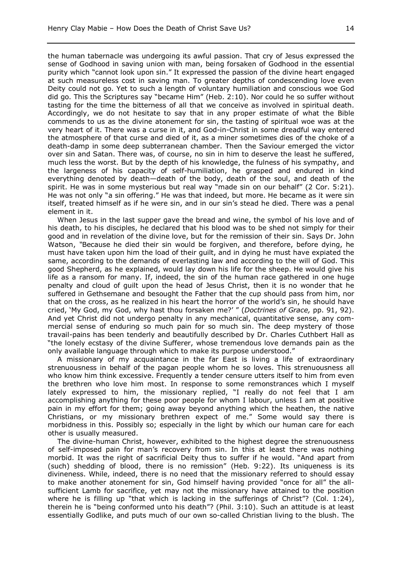the human tabernacle was undergoing its awful passion. That cry of Jesus expressed the sense of Godhood in saving union with man, being forsaken of Godhood in the essential purity which "cannot look upon sin." It expressed the passion of the divine heart engaged at such measureless cost in saving man. To greater depths of condescending love even Deity could not go. Yet to such a length of voluntary humiliation and conscious woe God did go. This the Scriptures say "became Him" (Heb. 2:10). Nor could he so suffer without tasting for the time the bitterness of all that we conceive as involved in spiritual death. Accordingly, we do not hesitate to say that in any proper estimate of what the Bible commends to us as the divine atonement for sin, the tasting of spiritual woe was at the very heart of it. There was a curse in it, and God-in-Christ in some dreadful way entered the atmosphere of that curse and died of it, as a miner sometimes dies of the choke of a death-damp in some deep subterranean chamber. Then the Saviour emerged the victor over sin and Satan. There was, of course, no sin in him to deserve the least he suffered, much less the worst. But by the depth of his knowledge, the fulness of his sympathy, and the largeness of his capacity of self-humiliation, he grasped and endured in kind everything denoted by death—death of the body, death of the soul, and death of the spirit. He was in some mysterious but real way "made sin on our behalf" (2 Cor. 5:21). He was not only "a sin offering." He was that indeed, but more. He became as it were sin itself, treated himself as if he were sin, and in our sin's stead he died. There was a penal element in it.

When Jesus in the last supper gave the bread and wine, the symbol of his love and of his death, to his disciples, he declared that his blood was to be shed not simply for their good and in revelation of the divine love, but for the remission of their sin. Says Dr. John Watson, *"*Because he died their sin would be forgiven, and therefore, before dying, he must have taken upon him the load of their guilt, and in dying he must have expiated the same, according to the demands of everlasting law and according to the will of God. This good Shepherd, as he explained, would lay down his life for the sheep. He would give his life as a ransom for many. If, indeed, the sin of the human race gathered in one huge penalty and cloud of guilt upon the head of Jesus Christ, then it is no wonder that he suffered in Gethsemane and besought the Father that the cup should pass from him, nor that on the cross, as he realized in his heart the horror of the world's sin, he should have cried, 'My God, my God, why hast thou forsaken me?' " (*Doctrines of Grace,* pp. 91, 92). And yet Christ did not undergo penalty in any mechanical, quantitative sense, any commercial sense of enduring so much pain for so much sin. The deep mystery of those travail-pains has been tenderly and beautifully described by Dr. Charles Cuthbert Hall as "the lonely ecstasy of the divine Sufferer, whose tremendous love demands pain as the only available language through which to make its purpose understood."

A missionary of my acquaintance in the far East is living a life of extraordinary strenuousness in behalf of the pagan people whom he so loves. This strenuousness all who know him think excessive. Frequently a tender censure utters itself to him from even the brethren who love him most. In response to some remonstrances which I myself lately expressed to him, the missionary replied, "I really do not feel that I am accomplishing anything for these poor people for whom I labour, unless I am at positive pain in my effort for them; going away beyond anything which the heathen, the native Christians, or my missionary brethren expect of me." Some would say there is morbidness in this. Possibly so; especially in the light by which our human care for each other is usually measured.

The divine-human Christ, however, exhibited to the highest degree the strenuousness of self-imposed pain for man's recovery from sin. In this at least there was nothing morbid. It was the right of sacrificial Deity thus to suffer if he would. "And apart from (such) shedding of blood, there is no remission" (Heb. 9:22). Its uniqueness is its divineness. While, indeed, there is no need that the missionary referred to should essay to make another atonement for sin, God himself having provided "once for all" the allsufficient Lamb for sacrifice, yet may not the missionary have attained to the position where he is filling up "that which is lacking in the sufferings of Christ"? (Col. 1:24), therein he is "being conformed unto his death"? (Phil. 3:10). Such an attitude is at least essentially Godlike, and puts much of our own so-called Christian living to the blush. The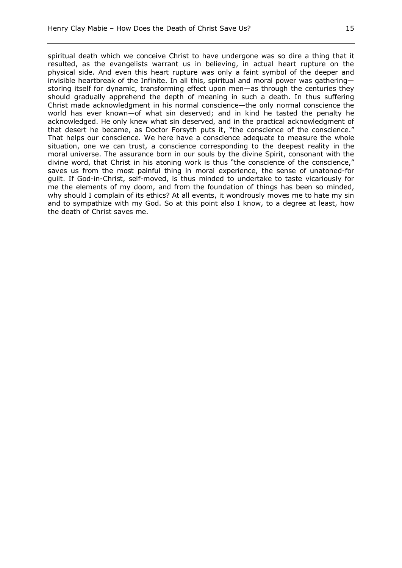spiritual death which we conceive Christ to have undergone was so dire a thing that it resulted, as the evangelists warrant us in believing, in actual heart rupture on the physical side. And even this heart rupture was only a faint symbol of the deeper and invisible heartbreak of the Infinite. In all this, spiritual and moral power was gathering storing itself for dynamic, transforming effect upon men—as through the centuries they should gradually apprehend the depth of meaning in such a death. In thus suffering Christ made acknowledgment in his normal conscience—the only normal conscience the world has ever known—of what sin deserved; and in kind he tasted the penalty he acknowledged. He only knew what sin deserved, and in the practical acknowledgment of that desert he became, as Doctor Forsyth puts it, "the conscience of the conscience." That helps our conscience. We here have a conscience adequate to measure the whole situation, one we can trust, a conscience corresponding to the deepest reality in the moral universe. The assurance born in our souls by the divine Spirit, consonant with the divine word, that Christ in his atoning work is thus "the conscience of the conscience," saves us from the most painful thing in moral experience, the sense of unatoned-for guilt. If God-in-Christ, self-moved, is thus minded to undertake to taste vicariously for me the elements of my doom, and from the foundation of things has been so minded, why should I complain of its ethics? At all events, it wondrously moves me to hate my sin and to sympathize with my God. So at this point also I know, to a degree at least, how the death of Christ saves me.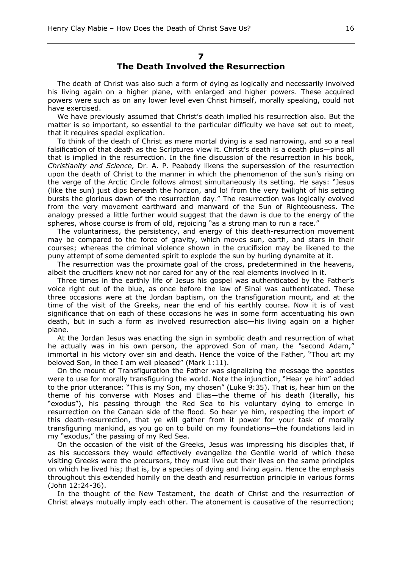## **7 The Death Involved the Resurrection**

The death of Christ was also such a form of dying as logically and necessarily involved his living again on a higher plane, with enlarged and higher powers. These acquired powers were such as on any lower level even Christ himself, morally speaking, could not have exercised.

We have previously assumed that Christ's death implied his resurrection also. But the matter is so important, so essential to the particular difficulty we have set out to meet, that it requires special explication.

To think of the death of Christ as mere mortal dying is a sad narrowing, and so a real falsification of that death as the Scriptures view it. Christ's death is a death plus—pins all that is implied in the resurrection. In the fine discussion of the resurrection in his book, *Christianity and Science,* Dr. A. P. Peabody likens the supersession of the resurrection upon the death of Christ to the manner in which the phenomenon of the sun's rising on the verge of the Arctic Circle follows almost simultaneously its setting. He says: "Jesus (like the sun) just dips beneath the horizon, and lo! from the very twilight of his setting bursts the glorious dawn of the resurrection day." The resurrection was logically evolved from the very movement earthward and manward of the Sun of Righteousness. The analogy pressed a little further would suggest that the dawn is due to the energy of the spheres, whose course is from of old, rejoicing "as a strong man to run a race."

The voluntariness, the persistency, and energy of this death-resurrection movement may be compared to the force of gravity, which moves sun, earth, and stars in their courses; whereas the criminal violence shown in the crucifixion may be likened to the puny attempt of some demented spirit to explode the sun by hurling dynamite at it.

The resurrection was the proximate goal of the cross, predetermined in the heavens, albeit the crucifiers knew not nor cared for any of the real elements involved in it.

Three times in the earthly life of Jesus his gospel was authenticated by the Father's voice right out of the blue, as once before the law of Sinai was authenticated. These three occasions were at the Jordan baptism, on the transfiguration mount, and at the time of the visit of the Greeks, near the end of his earthly course. Now it is of vast significance that on each of these occasions he was in some form accentuating his own death, but in such a form as involved resurrection also—his living again on a higher plane.

At the Jordan Jesus was enacting the sign in symbolic death and resurrection of what he actually was in his own person, the approved Son of man, the *"*second Adam," immortal in his victory over sin and death. Hence the voice of the Father, "Thou art my beloved Son, in thee I am well pleased" (Mark 1:11).

On the mount of Transfiguration the Father was signalizing the message the apostles were to use for morally transfiguring the world. Note the injunction, "Hear ye him" added to the prior utterance: "This is my Son, my chosen" (Luke 9:35). That is, hear him on the theme of his converse with Moses and Elias—the theme of his death (literally, his "exodus"), his passing through the Red Sea to his voluntary dying to emerge in resurrection on the Canaan side of the flood. So hear ye him, respecting the import of this death-resurrection, that ye will gather from it power for your task of morally transfiguring mankind, as you go on to build on my foundations—the foundations laid in my "exodus," the passing of my Red Sea.

On the occasion of the visit of the Greeks, Jesus was impressing his disciples that, if as his successors they would effectively evangelize the Gentile world of which these visiting Greeks were the precursors, they must live out their lives on the same principles on which he lived his; that is, by a species of dying and living again. Hence the emphasis throughout this extended homily on the death and resurrection principle in various forms (John 12:24-36).

In the thought of the New Testament, the death of Christ and the resurrection of Christ always mutually imply each other. The atonement is causative of the resurrection;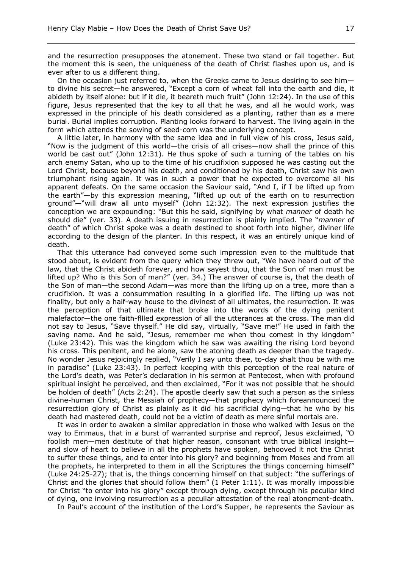and the resurrection presupposes the atonement. These two stand or fall together. But the moment this is seen, the uniqueness of the death of Christ flashes upon us, and is ever after to us a different thing.

On the occasion just referred to, when the Greeks came to Jesus desiring to see him to divine his secret—he answered, "Except a corn of wheat fall into the earth and die, it abideth by itself alone: but if it die, it beareth much fruit" (John 12:24). In the use of this figure, Jesus represented that the key to all that he was, and all he would work, was expressed in the principle of his death considered as a planting, rather than as a mere burial. Burial implies corruption. Planting looks forward to harvest. The living again in the form which attends the sowing of seed-corn was the underlying concept.

A little later, in harmony with the same idea and in full view of his cross, Jesus said, "Now is the judgment of this world—the crisis of all crises—now shall the prince of this world be cast out" (John 12:31). He thus spoke of such a turning of the tables on his arch enemy Satan, who up to the time of his crucifixion supposed he was casting out the Lord Christ, because beyond his death, and conditioned by his death, Christ saw his own triumphant rising again. It was in such a power that he expected to overcome all his apparent defeats. On the same occasion the Saviour said, "And I, if I be lifted up from the earth"—by this expression meaning, "lifted up out of the earth on to resurrection ground"—"will draw all unto myself" (John 12:32). The next expression justifies the conception we are expounding: "But this he said, signifying by what *manner* of death he should die" (ver. 33). A death issuing in resurrection is plainly implied. The "*manner* of death" of which Christ spoke was a death destined to shoot forth into higher, diviner life according to the design of the planter. In this respect, it was an entirely unique kind of death.

That this utterance had conveyed some such impression even to the multitude that stood about, is evident from the query which they threw out, "We have heard out of the law, that the Christ abideth forever, and how sayest thou, that the Son of man must be lifted up? Who is this Son of man?" (ver. 34.) The answer of course is, that the death of the Son of man—the second Adam—was more than the lifting up on a tree, more than a crucifixion. It was a consummation resulting in a glorified life. The lifting up was not finality, but only a half-way house to the divinest of all ultimates, the resurrection. It was the perception of that ultimate that broke into the words of the dying penitent malefactor—the one faith-fllled expression of all the utterances at the cross. The man did not say to Jesus, "Save thyself." He did say, virtually, "Save me!" He used in faith the saving name. And he said, "Jesus, remember me when thou comest in thy kingdom" (Luke 23:42). This was the kingdom which he saw was awaiting the rising Lord beyond his cross. This penitent, and he alone, saw the atoning death as deeper than the tragedy. No wonder Jesus rejoicingly replied, "Verily I say unto thee, to-day shalt thou be with me in paradise" (Luke 23:43). In perfect keeping with this perception of the real nature of the Lord's death, was Peter's declaration in his sermon at Pentecost, when with profound spiritual insight he perceived, and then exclaimed, "For it was not possible that he should be holden of death" (Acts 2:24). The apostle clearly saw that such a person as the sinless divine-human Christ, the Messiah of prophecy—that prophecy which foreannounced the resurrection glory of Christ as plainly as it did his sacrificial dying—that he who by his death had mastered death, could not be a victim of death as mere sinful mortals are.

It was in order to awaken a similar appreciation in those who walked with Jesus on the way to Emmaus, that in a burst of warranted surprise and reproof, Jesus exclaimed, *"*O foolish men—men destitute of that higher reason, consonant with true biblical insight and slow of heart to believe in all the prophets have spoken, behooved it not the Christ to suffer these things, and to enter into his glory? and beginning from Moses and from all the prophets, he interpreted to them in all the Scriptures the things concerning himself" (Luke 24:25-27); that is, the things concerning himself on that subject: "the sufferings of Christ and the glories that should follow them"  $(1$  Peter 1:11). It was morally impossible for Christ "to enter into his glory" except through dying, except through his peculiar kind of dying, one involving resurrection as a peculiar attestation of the real atonement-death.

In Paul's account of the institution of the Lord's Supper, he represents the Saviour as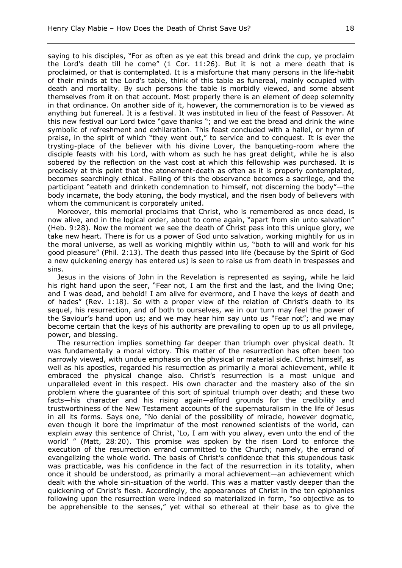saying to his disciples, "For as often as ye eat this bread and drink the cup, ye proclaim the Lord's death till he come" (1 Cor. 11:26). But it is not a mere death that is proclaimed, or that is contemplated. It is a misfortune that many persons in the life-habit of their minds at the Lord's table, think of this table as funereal, mainly occupied with death and mortality. By such persons the table is morbidly viewed, and some absent themselves from it on that account. Most properly there is an element of deep solemnity in that ordinance. On another side of it, however, the commemoration is to be viewed as anything but funereal. It is a festival. It was instituted in lieu of the feast of Passover. At this new festival our Lord twice "gave thanks "; and we eat the bread and drink the wine symbolic of refreshment and exhilaration. This feast concluded with a hallel, or hymn of praise, in the spirit of which "they went out," to service and to conquest. It is ever the trysting-place of the believer with his divine Lover, the banqueting-room where the disciple feasts with his Lord, with whom as such he has great delight, while he is also sobered by the reflection on the vast cost at which this fellowship was purchased. It is precisely at this point that the atonement-death as often as it is properly contemplated, becomes searchingly ethical. Failing of this the observance becomes a sacrilege, and the participant "eateth and drinketh condemnation to himself, not discerning the body"—the body incarnate, the body atoning, the body mystical, and the risen body of believers with whom the communicant is corporately united.

Moreover, this memorial proclaims that Christ, who is remembered as once dead, is now alive, and in the logical order, about to come again, "apart from sin unto salvation" (Heb. 9:28). Now the moment we see the death of Christ pass into this unique glory, we take new heart. There is for us a power of God unto salvation, working mightily for us in the moral universe, as well as working mightily within us, "both to will and work for his good pleasure" (Phil. 2:13). The death thus passed into life (because by the Spirit of God a new quickening energy has entered us) is seen to raise us from death in trespasses and sins.

Jesus in the visions of John in the Revelation is represented as saying, while he laid his right hand upon the seer, "Fear not, I am the first and the last, and the living One; and I was dead, and behold! I am alive for evermore, and I have the keys of death and of hades" (Rev. 1:18). So with a proper view of the relation of Christ's death to its sequel, his resurrection, and of both to ourselves, we in our turn may feel the power of the Saviour's hand upon us; and we may hear him say unto us *"*Fear not"; and we may become certain that the keys of his authority are prevailing to open up to us all privilege, power, and blessing.

The resurrection implies something far deeper than triumph over physical death. It was fundamentally a moral victory. This matter of the resurrection has often been too narrowly viewed, with undue emphasis on the physical or material side. Christ himself, as well as his apostles, regarded his resurrection as primarily a moral achievement, while it embraced the physical change also. Christ's resurrection is a most unique and unparalleled event in this respect. His own character and the mastery also of the sin problem where the guarantee of this sort of spiritual triumph over death; and these two facts—his character and his rising again—afford grounds for the credibility and trustworthiness of the New Testament accounts of the supernaturalism in the life of Jesus in all its forms. Says one, "No denial of the possibility of miracle, however dogmatic, even though it bore the imprimatur of the most renowned scientists of the world, can explain away this sentence of Christ, 'Lo, I am with you alway, even unto the end of the world' " (Matt, 28:20). This promise was spoken by the risen Lord to enforce the execution of the resurrection errand committed to the Church; namely, the errand of evangelizing the whole world. The basis of Christ's confidence that this stupendous task was practicable, was his confidence in the fact of the resurrection in its totality, when once it should be understood, as primarily a moral achievement—an achievement which dealt with the whole sin-situation of the world. This was a matter vastly deeper than the quickening of Christ's flesh. Accordingly, the appearances of Christ in the ten epiphanies following upon the resurrection were indeed so materialized in form, "so objective as to be apprehensible to the senses," yet withal so ethereal at their base as to give the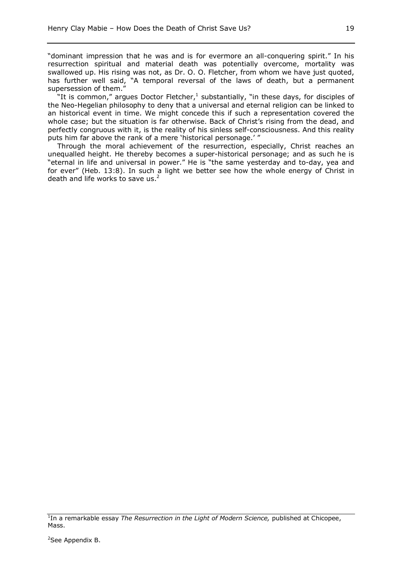"dominant impression that he was and is for evermore an all-conquering spirit." In his resurrection spiritual and material death was potentially overcome, mortality was swallowed up. His rising was not, as Dr. O. O. Fletcher, from whom we have just quoted, has further well said, "A temporal reversal of the laws of death, but a permanent supersession of them."

"It is common," argues Doctor Fletcher, $<sup>1</sup>$  substantially, "in these days, for disciples of</sup> the Neo-Hegelian philosophy to deny that a universal and eternal religion can be linked to an historical event in time. We might concede this if such a representation covered the whole case; but the situation is far otherwise. Back of Christ's rising from the dead, and perfectly congruous with it, is the reality of his sinless self-consciousness. And this reality puts him far above the rank of a mere 'historical personage.' "

Through the moral achievement of the resurrection, especially, Christ reaches an unequalled height. He thereby becomes a super-historical personage; and as such he is "eternal in life and universal in power." He is "the same yesterday and to-day, yea and for ever" (Heb. 13:8). In such a light we better see how the whole energy of Christ in death and life works to save us. $<sup>2</sup>$ </sup>

<sup>&</sup>lt;sup>1</sup>In a remarkable essay *The Resurrection in the Light of Modern Science*, published at Chicopee, Mass.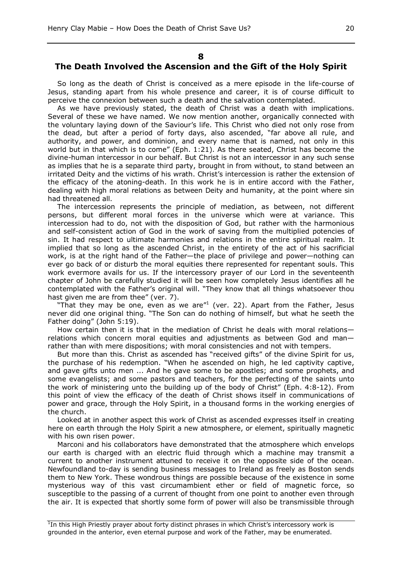#### **8**

# **The Death Involved the Ascension and the Gift of the Holy Spirit**

So long as the death of Christ is conceived as a mere episode in the life-course of Jesus, standing apart from his whole presence and career, it is of course difficult to perceive the connexion between such a death and the salvation contemplated.

As we have previously stated, the death of Christ was a death with implications. Several of these we have named. We now mention another, organically connected with the voluntary laying down of the Saviour's life. This Christ who died not only rose from the dead, but after a period of forty days, also ascended, "far above all rule, and authority, and power, and dominion, and every name that is named, not only in this world but in that which is to come" (Eph. 1:21). As there seated, Christ has become the divine-human intercessor in our behalf. But Christ is not an intercessor in any such sense as implies that he is a separate third party, brought in from without, to stand between an irritated Deity and the victims of his wrath. Christ's intercession is rather the extension of the efficacy of the atoning-death. In this work he is in entire accord with the Father, dealing with high moral relations as between Deity and humanity, at the point where sin had threatened all.

The intercession represents the principle of mediation, as between, not different persons, but different moral forces in the universe which were at variance. This intercession had to do, not with the disposition of God, but rather with the harmonious and self-consistent action of God in the work of saving from the multiplied potencies of sin. It had respect to ultimate harmonies and relations in the entire spiritual realm. It implied that so long as the ascended Christ, in the entirety of the act of his sacrificial work, is at the right hand of the Father—the place of privilege and power—nothing can ever go back of or disturb the moral equities there represented for repentant souls. This work evermore avails for us. If the intercessory prayer of our Lord in the seventeenth chapter of John be carefully studied it will be seen how completely Jesus identifies all he contemplated with the Father's original will. "They know that all things whatsoever thou hast given me are from thee" (ver. 7).

"That they may be one, even as we are"<sup>1</sup> (ver. 22). Apart from the Father, Jesus never did one original thing. "The Son can do nothing of himself, but what he seeth the Father doing" (John 5:19).

How certain then it is that in the mediation of Christ he deals with moral relations relations which concern moral equities and adjustments as between God and man rather than with mere dispositions; with moral consistencies and not with tempers.

But more than this. Christ as ascended has "received gifts" of the divine Spirit for us, the purchase of his redemption. "When he ascended on high, he led captivity captive, and gave gifts unto men ... And he gave some to be apostles; and some prophets, and some evangelists; and some pastors and teachers, for the perfecting of the saints unto the work of ministering unto the building up of the body of Christ" (Eph. 4:8-12). From this point of view the efficacy of the death of Christ shows itself in communications of power and grace, through the Holy Spirit, in a thousand forms in the working energies of the church.

Looked at in another aspect this work of Christ as ascended expresses itself in creating here on earth through the Holy Spirit a new atmosphere, or element, spiritually magnetic with his own risen power.

Marconi and his collaborators have demonstrated that the atmosphere which envelops our earth is charged with an electric fluid through which a machine may transmit a current to another instrument attuned to receive it on the opposite side of the ocean. Newfoundland to-day is sending business messages to Ireland as freely as Boston sends them to New York. These wondrous things are possible because of the existence in some mysterious way of this vast circumambient ether or field of magnetic force, so susceptible to the passing of a current of thought from one point to another even through the air. It is expected that shortly some form of power will also be transmissible through

<sup>&</sup>lt;sup>1</sup>In this High Priestly prayer about forty distinct phrases in which Christ's intercessory work is grounded in the anterior, even eternal purpose and work of the Father, may be enumerated.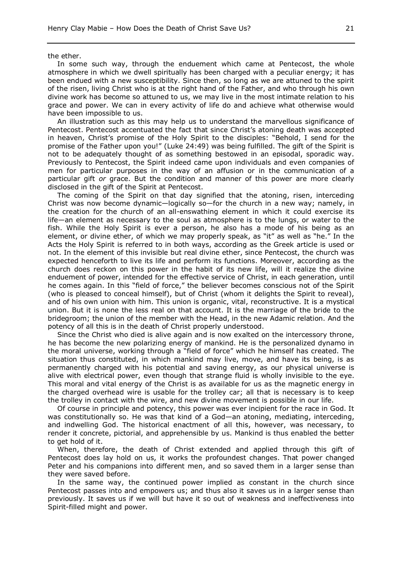the ether.

In some such way, through the enduement which came at Pentecost, the whole atmosphere in which we dwell spiritually has been charged with a peculiar energy; it has been endued with a new susceptibility. Since then, so long as we are attuned to the spirit of the risen, living Christ who is at the right hand of the Father, and who through his own divine work has become so attuned to us, we may live in the most intimate relation to his grace and power. We can in every activity of life do and achieve what otherwise would have been impossible to us.

An illustration such as this may help us to understand the marvellous significance of Pentecost. Pentecost accentuated the fact that since Christ's atoning death was accepted in heaven, Christ's promise of the Holy Spirit to the disciples: "Behold, I send for the promise of the Father upon you!" (Luke 24:49) was being fulfilled. The gift of the Spirit is not to be adequately thought of as something bestowed in an episodal, sporadic way. Previously to Pentecost, the Spirit indeed came upon individuals and even companies of men for particular purposes in the way of an affusion or in the communication of a particular gift *or* grace. But the condition and manner of this power are more clearly disclosed in the gift of the Spirit at Pentecost.

The coming of the Spirit on that day signified that the atoning, risen, interceding Christ was now become dynamic—logically so—for the church in a new way; namely, in the creation for the church of an all-enswathing element in which it could exercise its life—an element as necessary to the soul as atmosphere is to the lungs, or water to the fish. While the Holy Spirit is ever a person, he also has a mode of his being as an element, or divine ether, of which we may properly speak, as "it" as well as "he." In the Acts the Holy Spirit is referred to in both ways, according as the Greek article is used or not. In the element of this invisible but real divine ether, since Pentecost, the church was expected henceforth to live its life and perform its functions. Moreover, according as the church does reckon on this power in the habit of its new life, will it realize the divine enduement of power, intended for the effective service of Christ, in each generation, until he comes again. In this "field of force," the believer becomes conscious not of the Spirit (who is pleased to conceal himself), but of Christ (whom it delights the Spirit to reveal), and of his own union with him. This union is organic, vital, reconstructive. It is a mystical union. But it is none the less real on that account. It is the marriage of the bride to the bridegroom; the union of the member with the Head, in the new Adamic relation. And the potency of all this is in the death of Christ properly understood.

Since the Christ who died is alive again and is now exalted on the intercessory throne, he has become the new polarizing energy of mankind. He is the personalized dynamo in the moral universe, working through a "field of force" which he himself has created. The situation thus constituted, in which mankind may live, move, and have its being, is as permanently charged with his potential and saving energy, as our physical universe is alive with electrical power, even though that strange fluid is wholly invisible to the eye. This moral and vital energy of the Christ is as available for us as the magnetic energy in the charged overhead wire is usable for the trolley car; all that is necessary is to keep the trolley in contact with the wire, and new divine movement is possible in our life.

Of course in principle and potency, this power was ever incipient for the race in God. It was constitutionally so. He was that kind of a God—an atoning, mediating, interceding, and indwelling God. The historical enactment of all this, however, was necessary, to render it concrete, pictorial, and apprehensible by us. Mankind is thus enabled the better to get hold of it.

When, therefore, the death of Christ extended and applied through this gift of Pentecost does lay hold on us, it works the profoundest changes. That power changed Peter and his companions into different men, and so saved them in a larger sense than they were saved before.

In the same way, the continued power implied as constant in the church since Pentecost passes into and empowers us; and thus also it saves us in a larger sense than previously. It saves us if we will but have it so out of weakness and ineffectiveness into Spirit-filled might and power.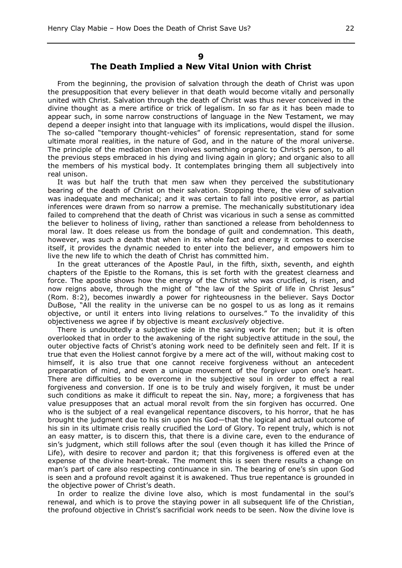#### **9**

## **The Death Implied a New Vital Union with Christ**

From the beginning, the provision of salvation through the death of Christ was upon the presupposition that every believer in that death would become vitally and personally united with Christ. Salvation through the death of Christ was thus never conceived in the divine thought as a mere artifice or trick of legalism. In so far as it has been made to appear such, in some narrow constructions of language in the New Testament, we may depend a deeper insight into that language with its implications, would dispel the illusion. The so-called "temporary thought-vehicles" of forensic representation, stand for some ultimate moral realities, in the nature of God, and in the nature of the moral universe. The principle of the mediation then involves something organic to Christ's person, to all the previous steps embraced in his dying and living again in glory; and organic also to all the members of his mystical body. It contemplates bringing them all subjectively into real unison.

It was but half the truth that men saw when they perceived the substitutionary bearing of the death of Christ on their salvation. Stopping there, the view of salvation was inadequate and mechanical; and it was certain to fall into positive error, as partial inferences were drawn from so narrow a premise. The mechanically substitutionary idea failed to comprehend that the death of Christ was vicarious in such a sense as committed the believer to holiness of living, rather than sanctioned a release from beholdenness to moral law. It does release us from the bondage of guilt and condemnation. This death, however, was such a death that when in its whole fact and energy it comes to exercise itself, it provides the dynamic needed to enter into the believer, and empowers him to live the new life to which the death of Christ has committed him.

In the great utterances of the Apostle Paul, in the fifth, sixth, seventh, and eighth chapters of the Epistle to the Romans, this is set forth with the greatest clearness and force. The apostle shows how the energy of the Christ who was crucified, is risen, and now reigns above, through the might of "the law of the Spirit of life in Christ Jesus" (Rom. 8:2), becomes inwardly a power for righteousness in the believer. Says Doctor DuBose, "All the reality in the universe can be no gospel to us as long as it remains objective, or until it enters into living relations to ourselves." To the invalidity of this objectiveness we agree if by objective is meant *exclusively* objective.

There is undoubtedly a subjective side in the saving work for men; but it is often overlooked that in order to the awakening of the right subjective attitude in the soul, the outer objective facts of Christ's atoning work need to be definitely seen and felt. If it is true that even the Holiest cannot forgive by a mere act of the will, without making cost to himself, it is also true that one cannot receive forgiveness without an antecedent preparation of mind, and even a unique movement of the forgiver upon one's heart. There are difficulties to be overcome in the subjective soul in order to effect a real forgiveness and conversion. If one is to be truly and wisely forgiven, it must be under such conditions as make it difficult to repeat the sin. Nay, more; a forgiveness that has value presupposes that an actual moral revolt from the sin forgiven has occurred. One who is the subject of a real evangelical repentance discovers, to his horror, that he has brought the judgment due to his sin upon his God—that the logical and actual outcome of his sin in its ultimate crisis really crucified the Lord of Glory. To repent truly, which is not an easy matter, is to discern this, that there is a divine care, even to the endurance of sin's judgment, which still follows after the soul (even though it has killed the Prince of Life), with desire to recover and pardon it; that this forgiveness is offered even at the expense of the divine heart-break. The moment this is seen there results a change on man's part of care also respecting continuance in sin. The bearing of one's sin upon God is seen and a profound revolt against it is awakened. Thus true repentance is grounded in the objective power of Christ's death.

In order to realize the divine love also, which is most fundamental in the soul's renewal, and which is to prove the staying power in all subsequent life of the Christian, the profound objective in Christ's sacrificial work needs to be seen. Now the divine love is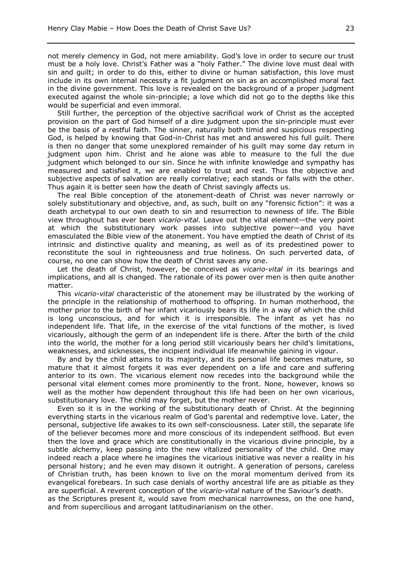not merely clemency in God, not mere amiability. God's love in order to secure our trust must be a holy love. Christ's Father was a "holy Father." The divine love must deal with sin and guilt; in order to do this, either to divine or human satisfaction, this love must include in its own internal necessity a fit judgment on sin as an accomplished moral fact in the divine government. This love is revealed on the background of a proper judgment executed against the whole sin-principle; a love which did not go to the depths like this would be superficial and even immoral.

Still further, the perception of the objective sacrificial work of Christ as the accepted provision on the part of God himself of a dire judgment upon the sin-principle must ever be the basis of a restful faith. The sinner, naturally both timid and suspicious respecting God, is helped by knowing that God-in-Christ has met and answered his full guilt. There is then no danger that some unexplored remainder of his guilt may some day return in judgment upon him. Christ and he alone was able to measure to the full the due judgment which belonged to our sin. Since he with infinite knowledge and sympathy has measured and satisfied it, we are enabled to trust and rest. Thus the objective and subjective aspects of salvation are really correlative; each stands or falls with the other. Thus again it is better seen how the death of Christ savingly affects us.

The real Bible conception of the atonement-death of Christ was never narrowly or solely substitutionary and objective, and, as such, built on any "forensic fiction": it was a death archetypal to our own death to sin and resurrection to newness of life. The Bible view throughout has ever been *vicario-vital.* Leave out the vital element—the very point at which the substitutionary work passes into subjective power—and you have emasculated the Bible view of the atonement. You have emptied the death of Christ of its intrinsic and distinctive quality and meaning, as well as of its predestined power to reconstitute the soul in righteousness and true holiness. On such perverted data, of course, no one can show how the death of Christ saves any one.

Let the death of Christ, however, be conceived as *vicario-vital in* its bearings and implications, and all is changed. The rationale of its power over men is then quite another matter.

This *vicario-vital* characteristic of the atonement may be illustrated by the working of the principle in the relationship of motherhood to offspring. In human motherhood, the mother prior to the birth of her infant vicariously bears its life in a way of which the child is long unconscious, and for which it is irresponsible. The infant as yet has no independent life. That life, in the exercise of the vital functions of the mother, is lived vicariously, although the germ of an independent life is there. After the birth of the child into the world, the mother for a long period still vicariously bears her child's limitations, weaknesses, and sicknesses, the incipient individual life meanwhile gaining in vigour.

By and by the child attains to its majority, and its personal life becomes mature, so mature that it almost forgets it was ever dependent on a life and care and suffering anterior to its own. The vicarious element now recedes into the background while the personal vital element comes more prominently to the front. None, however, knows so well as the mother how dependent throughout this life had been on her own vicarious, substitutionary love. The child may forget, but the mother never.

Even so it is in the working of the substitutionary death of Christ. At the beginning everything starts in the vicarious realm of God's parental and redemptive love. Later, the personal, subjective life awakes to its own self-consciousness. Later still, the separate life of the believer becomes more and more conscious of its independent selfhood. But even then the love and grace which are constitutionally in the vicarious divine principle, by a subtle alchemy, keep passing into the new vitalized personality of the child. One may indeed reach a place where he imagines the vicarious initiative was never a reality in his personal history; and he even may disown it outright. A generation of persons, careless of Christian truth, has been known to live on the moral momentum derived from its evangelical forebears. In such case denials of worthy ancestral life are as pitiable as they are superficial. A reverent conception of the *vicario-vital* nature of the Saviour's death. as the Scriptures present it, would save from mechanical narrowness, on the one hand,

and from supercilious and arrogant latitudinarianism on the other.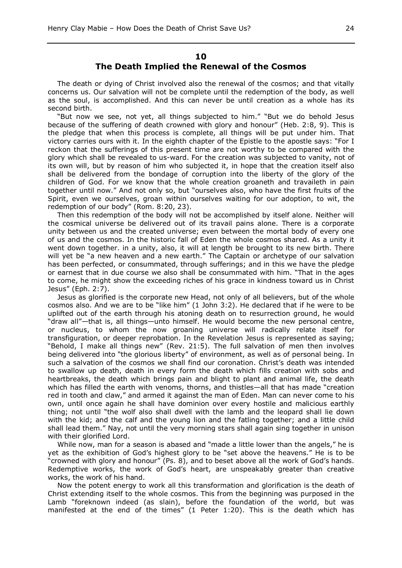#### **10 The Death Implied the Renewal of the Cosmos**

The death or dying of Christ involved also the renewal of the cosmos; and that vitally concerns us. Our salvation will not be complete until the redemption of the body, as well as the soul, is accomplished. And this can never be until creation as a whole has its second birth.

"But now we see, not yet, all things subjected to him." "But we do behold Jesus because of the suffering of death crowned with glory and honour" (Heb. 2:8, 9). This is the pledge that when this process is complete, all things will be put under him. That victory carries ours with it. In the eighth chapter of the Epistle to the apostle says: "For I reckon that the sufferings of this present time are not worthy to be compared with the glory which shall be revealed to us-ward. For the creation was subjected to vanity, not of its own will, but by reason of him who subjected it, in hope that the creation itself also shall be delivered from the bondage of corruption into the liberty of the glory of the children of God. For we know that the whole creation groaneth and travaileth in pain together until now." And not only so, but "ourselves also, who have the first fruits of the Spirit, even we ourselves, groan within ourselves waiting for our adoption, to wit, the redemption of our body" (Rom. 8:20, 23).

Then this redemption of the body will not be accomplished by itself alone. Neither will the cosmical universe be delivered out of its travail pains alone. There is a corporate unity between us and the created universe; even between the mortal body of every one of us and the cosmos. In the historic fall of Eden the whole cosmos shared. As a unity it went down together. in a unity, also, it will at length be brought to its new birth. There will yet be "a new heaven and a new earth." The Captain or archetype of our salvation has been perfected, or consummated, through sufferings; and in this we have the pledge or earnest that in due course we also shall be consummated with him. "That in the ages to come, he might show the exceeding riches of his grace in kindness toward us in Christ Jesus" (Eph. 2:7).

Jesus as glorified is the corporate new Head, not only of all believers, but of the whole cosmos also. And we are to be "like him" (1 John 3:2). He declared that if he were to be uplifted out of the earth through his atoning death on to resurrection ground, he would "draw all"—that is, all things—unto himself. He would become the new personal centre, or nucleus, to whom the now groaning universe will radically relate itself for transfiguration, or deeper reprobation. In the Revelation Jesus is represented as saying; "Behold, I make all things new" (Rev. 21:5). The full salvation of men then involves being delivered into "the glorious liberty" of environment, as well as of personal being. In such a salvation of the cosmos we shall find our coronation. Christ's death was intended to swallow up death, death in every form the death which fills creation with sobs and heartbreaks, the death which brings pain and blight to plant and animal life, the death which has filled the earth with venoms, thorns, and thistles—all that has made "creation red in tooth and claw," and armed it against the man of Eden. Man can never come to his own, until once again he shall have dominion over every hostile and malicious earthly thing; not until "the wolf also shall dwell with the lamb and the leopard shall lie down with the kid; and the calf and the young lion and the fatling together; and a little child shall lead them." Nay, not until the very morning stars shall again sing together in unison with their glorified Lord.

While now, man for a season is abased and "made a little lower than the angels," he is yet as the exhibition of God's highest glory to be "set above the heavens." He is to be "crowned with glory and honour" (Ps. 8), and to beset above all the work of God's hands. Redemptive works, the work of God's heart, are unspeakably greater than creative works, the work of his hand.

Now the potent energy to work all this transformation and glorification is the death of Christ extending itself to the whole cosmos. This from the beginning was purposed in the Lamb "foreknown indeed (as slain), before the foundation of the world, but was manifested at the end of the times" (1 Peter 1:20). This is the death which has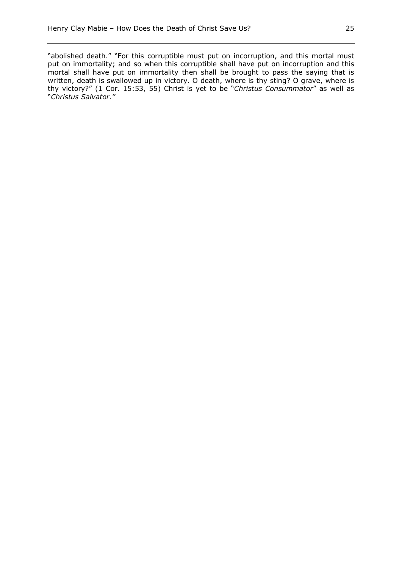"abolished death." "For this corruptible must put on incorruption, and this mortal must put on immortality; and so when this corruptible shall have put on incorruption and this mortal shall have put on immortality then shall be brought to pass the saying that is written, death is swallowed up in victory. O death, where is thy sting? O grave, where is thy victory?" (1 Cor. 15:53, 55) Christ is yet to be "*Christus Consummator*" as well as "*Christus Salvator."*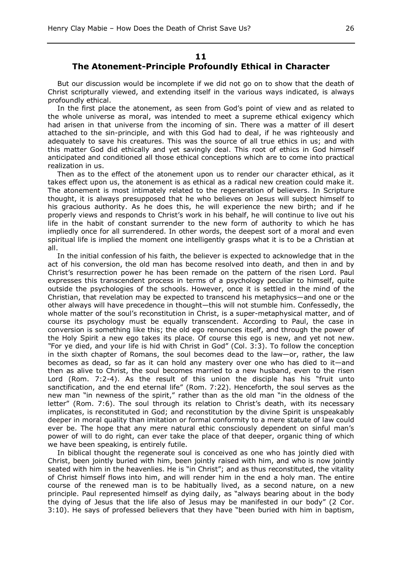#### **11**

#### **The Atonement-Principle Profoundly Ethical in Character**

But our discussion would be incomplete if we did not go on to show that the death of Christ scripturally viewed, and extending itself in the various ways indicated, is always profoundly ethical.

In the first place the atonement, as seen from God's point of view and as related to the whole universe as moral, was intended to meet a supreme ethical exigency which had arisen in that universe from the incoming of sin. There was a matter of ill desert attached to the sin-principle, and with this God had to deal, if he was righteously and adequately to save his creatures. This was the source of all true ethics in us; and with this matter God did ethically and yet savingly deal. This root of ethics in God himself anticipated and conditioned all those ethical conceptions which are to come into practical realization in us.

Then as to the effect of the atonement upon us to render our character ethical, as it takes effect upon us, the atonement is as ethical as a radical new creation could make it. The atonement is most intimately related to the regeneration of believers. In Scripture thought, it is always presupposed that he who believes on Jesus will subject himself to his gracious authority. As he does this, he will experience the new birth; and if he properly views and responds to Christ's work in his behalf, he will continue to live out his life in the habit of constant surrender to the new form of authority to which he has impliedly once for all surrendered. In other words, the deepest sort of a moral and even spiritual life is implied the moment one intelligently grasps what it is to be a Christian at all.

In the initial confession of his faith, the believer is expected to acknowledge that in the act of his conversion, the old man has become resolved into death, and then in and by Christ's resurrection power he has been remade on the pattern of the risen Lord. Paul expresses this transcendent process in terms of a psychology peculiar to himself, quite outside the psychologies of the schools. However, once it is settled in the mind of the Christian, that revelation may be expected to transcend his metaphysics—and one or the other always will have precedence in thought—this will not stumble him. Confessedly, the whole matter of the soul's reconstitution in Christ, is a super-metaphysical matter, and of course its psychology must be equally transcendent. According to Paul, the case in conversion is something like this; the old ego renounces itself, and through the power of the Holy Spirit a new ego takes its place. Of course this ego is new, and yet not new. *"*For ye died, and your life is hid with Christ in God" (Col. 3:3). To follow the conception in the sixth chapter of Romans, the soul becomes dead to the law—or, rather, the law becomes as dead, so far as it can hold any mastery over one who has died to it—and then as alive to Christ, the soul becomes married to a new husband, even to the risen Lord (Rom. 7:2-4). As the result of this union the disciple has his "fruit unto sanctification, and the end eternal life" (Rom. 7:22). Henceforth, the soul serves as the new man "in newness of the spirit," rather than as the old man "in the oldness of the letter" (Rom. 7:6). The soul through its relation to Christ's death, with its necessary implicates, is reconstituted in God; and reconstitution by the divine Spirit is unspeakably deeper in moral quality than imitation or formal conformity to a mere statute of law could ever be. The hope that any mere natural ethic consciously dependent on sinful man's power of will to do right, can ever take the place of that deeper, organic thing of which we have been speaking, is entirely futile.

In biblical thought the regenerate soul is conceived as one who has jointly died with Christ, been jointly buried with him, been jointly raised with him, and who is now jointly seated with him in the heavenlies. He is "in Christ"; and as thus reconstituted, the vitality of Christ himself flows into him, and will render him in the end a holy man. The entire course of the renewed man is to be habitually lived, as a second nature, on a new principle. Paul represented himself as dying daily, as "always bearing about in the body the dying of Jesus that the life also of Jesus may be manifested in our body" (2 Cor. 3:10). He says of professed believers that they have "been buried with him in baptism,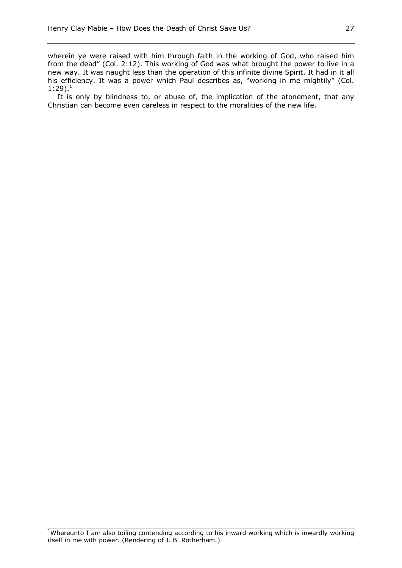wherein ye were raised with him through faith in the working of God, who raised him from the dead" (Col. 2:12). This working of God was what brought the power to live in a new way. It was naught less than the operation of this infinite divine Spirit. It had in it all his efficiency. It was a power which Paul describes as, "working in me mightily" (Col.  $1:29$ ).<sup>1</sup>

It is only by blindness to, or abuse of, the implication of the atonement, that any Christian can become even careless in respect to the moralities of the new life.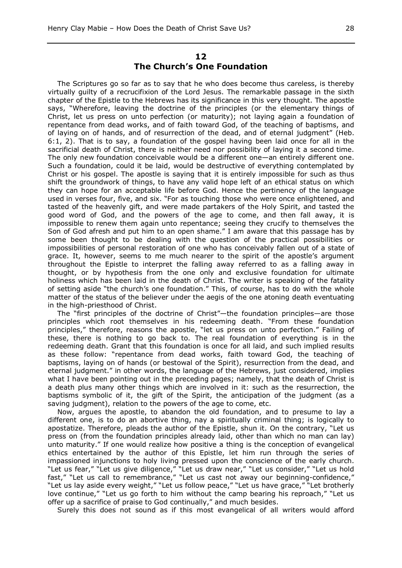#### **12 The Church's One Foundation**

The Scriptures go so far as to say that he who does become thus careless, is thereby virtually guilty of a recrucifixion of the Lord Jesus. The remarkable passage in the sixth chapter of the Epistle to the Hebrews has its significance in this very thought. The apostle says, "Wherefore, leaving the doctrine of the principles (or the elementary things of Christ, let us press on unto perfection (or maturity); not laying again a foundation of repentance from dead works, and of faith toward God, of the teaching of baptisms, and of laying on of hands, and of resurrection of the dead, and of eternal judgment" (Heb. 6:1, 2). That is to say, a foundation of the gospel having been laid once for all in the sacrificial death of Christ, there is neither need nor possibility of laying it a second time. The only new foundation conceivable would be a different one—an entirely different one. Such a foundation, could it be laid, would be destructive of everything contemplated by Christ or his gospel. The apostle is saying that it is entirely impossible for such as thus shift the groundwork of things, to have any valid hope left of an ethical status on which they can hope for an acceptable life before God. Hence the pertinency of the language used in verses four, five, and six. "For as touching those who were once enlightened, and tasted of the heavenly gift, and were made partakers of the Holy Spirit, and tasted the good word of God, and the powers of the age to come, and then fall away, it is impossible to renew them again unto repentance; seeing they crucify to themselves the Son of God afresh and put him to an open shame." I am aware that this passage has by some been thought to be dealing with the question of the practical possibilities or impossibilities of personal restoration of one who has conceivably fallen out of a state of grace. It, however, seems to me much nearer to the spirit of the apostle's argument throughout the Epistle to interpret the falling away referred to as a falling away in thought, or by hypothesis from the one only and exclusive foundation for ultimate holiness which has been laid in the death of Christ. The writer is speaking of the fatality of setting aside "the church's one foundation." This, of course, has to do with the whole matter of the status of the believer under the aegis of the one atoning death eventuating in the high-priesthood of Christ.

The "first principles of the doctrine of Christ"—the foundation principles—are those principles which root themselves in his redeeming death. "From these foundation principles," therefore, reasons the apostle, "let us press on unto perfection." Failing of these, there is nothing to go back to. The real foundation of everything is in the redeeming death. Grant that this foundation is once for all laid, and such implied results as these follow: "repentance from dead works, faith toward God, the teaching of baptisms, laying on of hands (or bestowal of the Spirit), resurrection from the dead, and eternal judgment." in other words, the language of the Hebrews, just considered, implies what I have been pointing out in the preceding pages; namely, that the death of Christ is a death plus many other things which are involved in it: such as the resurrection, the baptisms symbolic of it, the gift of the Spirit, the anticipation of the judgment (as a saving judgment), relation to the powers of the age to come, etc.

Now, argues the apostle, to abandon the old foundation, and to presume to lay a different one, is to do an abortive thing, nay a spiritually criminal thing; is logically to apostatize. Therefore, pleads the author of the Epistle, shun it. On the contrary, "Let us press on (from the foundation principles already laid, other than which no man can lay) unto maturity." If one would realize how positive a thing is the conception of evangelical ethics entertained by the author of this Epistle, let him run through the series of impassioned injunctions to holy living pressed upon the conscience of the early church. "Let us fear," "Let us give diligence," "Let us draw near," "Let us consider," "Let us hold fast," "Let us call to remembrance," "Let us cast not away our beginning-confidence," "Let us lay aside every weight," "Let us follow peace," "Let us have grace," "Let brotherly love continue," "Let us go forth to him without the camp bearing his reproach," "Let us offer up a sacrifice of praise to God continually," and much besides.

Surely this does not sound as if this most evangelical of all writers would afford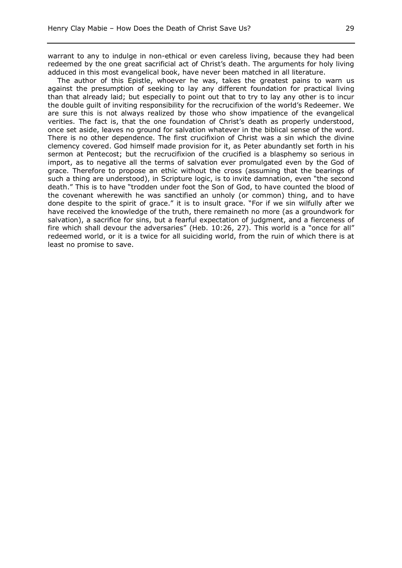warrant to any to indulge in non-ethical or even careless living, because they had been redeemed by the one great sacrificial act of Christ's death. The arguments for holy living adduced in this most evangelical book, have never been matched in all literature.

The author of this Epistle, whoever he was, takes the greatest pains to warn us against the presumption of seeking to lay any different foundation for practical living than that already laid; but especially to point out that to try to lay any other is to incur the double guilt of inviting responsibility for the recrucifixion of the world's Redeemer. We are sure this is not always realized by those who show impatience of the evangelical verities. The fact is, that the one foundation of Christ's death as properly understood, once set aside, leaves no ground for salvation whatever in the biblical sense of the word. There is no other dependence. The first crucifixion of Christ was a sin which the divine clemency covered. God himself made provision for it, as Peter abundantly set forth in his sermon at Pentecost; but the recrucifixion of the crucified is a blasphemy so serious in import, as to negative all the terms of salvation ever promulgated even by the God of grace. Therefore to propose an ethic without the cross (assuming that the bearings of such a thing are understood), in Scripture logic, is to invite damnation, even "the second death." This is to have "trodden under foot the Son of God, to have counted the blood of the covenant wherewith he was sanctified an unholy (or common) thing, and to have done despite to the spirit of grace." it is to insult grace. "For if we sin wilfully after we have received the knowledge of the truth, there remaineth no more (as a groundwork for salvation), a sacrifice for sins, but a fearful expectation of judgment, and a fierceness of fire which shall devour the adversaries" (Heb. 10:26, 27). This world is a "once for all" redeemed world, or it is a twice for all suiciding world, from the ruin of which there is at least no promise to save.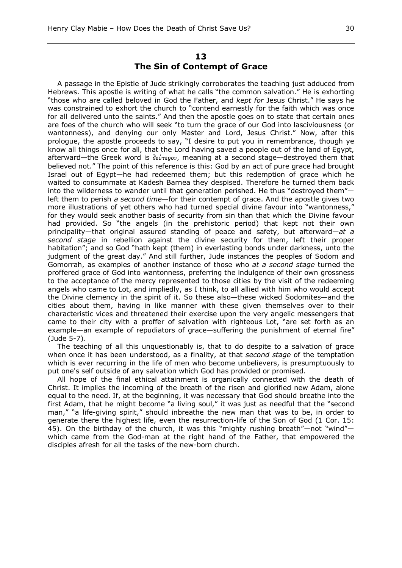## **13 The Sin of Contempt of Grace**

A passage in the Epistle of Jude strikingly corroborates the teaching just adduced from Hebrews. This apostle is writing of what he calls "the common salvation." He is exhorting "those who are called beloved in God the Father, and *kept for* Jesus Christ." He says he was constrained to exhort the church to "contend earnestly for the faith which was once for all delivered unto the saints." And then the apostle goes on to state that certain ones are foes of the church who will seek "to turn the grace of our God into lasciviousness (or wantonness), and denying our only Master and Lord, Jesus Christ." Now, after this prologue, the apostle proceeds to say, "I desire to put you in remembrance, though ye know all things once for all, that the Lord having saved a people out of the land of Egypt, afterward—the Greek word is  $\delta \epsilon \nu \tau \epsilon \varrho \sigma \nu$ , meaning at a second stage—destroyed them that believed not." The point of this reference is this: God by an act of pure grace had brought Israel out of Egypt—he had redeemed them; but this redemption of grace which he waited to consummate at Kadesh Barnea they despised. Therefore he turned them back into the wilderness to wander until that generation perished. He thus "destroyed them"left them to perish *a second time*—for their contempt of grace. And the apostle gives two more illustrations of yet others who had turned special divine favour into "wantonness," for they would seek another basis of security from sin than that which the Divine favour had provided. So "the angels (in the prehistoric period) that kept not their own principality—that original assured standing of peace and safety, but afterward—*at a second stage* in rebellion against the divine security for them, left their proper habitation"; and so God "hath kept (them) in everlasting bonds under darkness, unto the judgment of the great day." And still further, Jude instances the peoples of Sodom and Gomorrah, as examples of another instance of those who *at a second stage* turned the proffered grace of God into wantonness, preferring the indulgence of their own grossness to the acceptance of the mercy represented to those cities by the visit of the redeeming angels who came to Lot, and impliedly, as I think, to all allied with him who would accept the Divine clemency in the spirit of it. So these also—these wicked Sodomites—and the cities about them, having in like manner with these given themselves over to their characteristic vices and threatened their exercise upon the very angelic messengers that came to their city with a proffer of salvation with righteous Lot, "are set forth as an example—an example of repudiators of grace—suffering the punishment of eternal fire" (Jude 5-7).

The teaching of all this unquestionably is, that to do despite to a salvation of grace when once it has been understood, as a finality, at that *second stage* of the temptation which is ever recurring in the life of men who become unbelievers, is presumptuously to put one's self outside of any salvation which God has provided or promised.

All hope of the final ethical attainment is organically connected with the death of Christ. It implies the incoming of the breath of the risen and glorified new Adam, alone equal to the need. If, at the beginning, it was necessary that God should breathe into the first Adam, that he might become "a living soul," it was just as needful that the "second man," "a life-giving spirit," should inbreathe the new man that was to be, in order to generate there the highest life, even the resurrection-life of the Son of God (1 Cor. 15: 45). On the birthday of the church, it was this "mighty rushing breath"—not "wind" which came from the God-man at the right hand of the Father, that empowered the disciples afresh for all the tasks of the new-born church.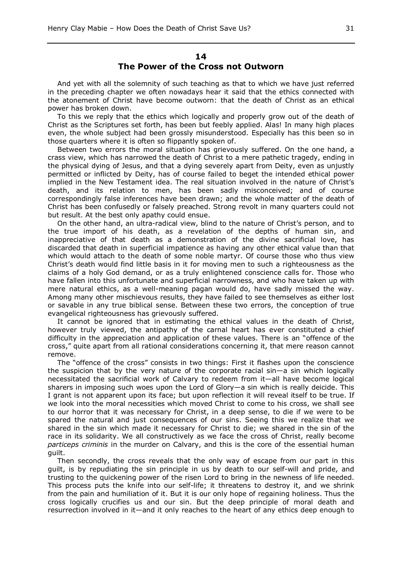## **14 The Power of the Cross not Outworn**

And yet with all the solemnity of such teaching as that to which we have just referred in the preceding chapter we often nowadays hear it said that the ethics connected with the atonement of Christ have become outworn: that the death of Christ as an ethical power has broken down.

To this we reply that the ethics which logically and properly grow out of the death of Christ as the Scriptures set forth, has been but feebly applied. Alas! In many high places even, the whole subject had been grossly misunderstood. Especially has this been so in those quarters where it is often so flippantly spoken of.

Between two errors the moral situation has grievously suffered. On the one hand, a crass view, which has narrowed the death of Christ to a mere pathetic tragedy, ending in the physical dying of Jesus, and that a dying severely apart from Deity, even as unjustly permitted or inflicted by Deity, has of course failed to beget the intended ethical power implied in the New Testament idea. The real situation involved in the nature of Christ's death, and its relation to men, has been sadly misconceived; and of course correspondingly false inferences have been drawn; and the whole matter of the death of Christ has been confusedly or falsely preached. Strong revolt in many quarters could not but result. At the best only apathy could ensue.

On the other hand, an ultra-radical view, blind to the nature of Christ's person, and to the true import of his death, as a revelation of the depths of human sin, and inappreciative of that death as a demonstration of the divine sacrificial love, has discarded that death in superficial impatience as having any other ethical value than that which would attach to the death of some noble martyr. Of course those who thus view Christ's death would find little basis in it for moving men to such a righteousness as the claims of a holy God demand, or as a truly enlightened conscience calls for. Those who have fallen into this unfortunate and superficial narrowness, and who have taken up with mere natural ethics, as a well-meaning pagan would do, have sadly missed the way. Among many other mischievous results, they have failed to see themselves as either lost or savable in any true biblical sense. Between these two errors, the conception of true evangelical righteousness has grievously suffered.

It cannot be ignored that in estimating the ethical values in the death of Christ, however truly viewed, the antipathy of the carnal heart has ever constituted a chief difficulty in the appreciation and application of these values. There is an "offence of the cross," quite apart from all rational considerations concerning it, that mere reason cannot remove.

The "offence of the cross" consists in two things: First it flashes upon the conscience the suspicion that by the very nature of the corporate racial sin—a sin which logically necessitated the sacrificial work of Calvary to redeem from it—all have become logical sharers in imposing such woes upon the Lord of Glory—a sin which is really deicide. This I grant is not apparent upon its face; but upon reflection it will reveal itself to be true. If we look into the moral necessities which moved Christ to come to his cross, we shall see to our horror that it was necessary for Christ, in a deep sense, to die if we were to be spared the natural and just consequences of our sins. Seeing this we realize that we shared in the sin which made it necessary for Christ to die; we shared in the sin of the race in its solidarity. We all constructively as we face the cross of Christ, really become *particeps criminis* in the murder on Calvary, and this is the core of the essential human guilt.

Then secondly, the cross reveals that the only way of escape from our part in this guilt, is by repudiating the sin principle in us by death to our self-will and pride, and trusting to the quickening power of the risen Lord to bring in the newness of life needed. This process puts the knife into our self-life; it threatens to destroy it, and we shrink from the pain and humiliation of it. But it is our only hope of regaining holiness. Thus the cross logically crucifies us and our sin. But the deep principle of moral death and resurrection involved in it—and it only reaches to the heart of any ethics deep enough to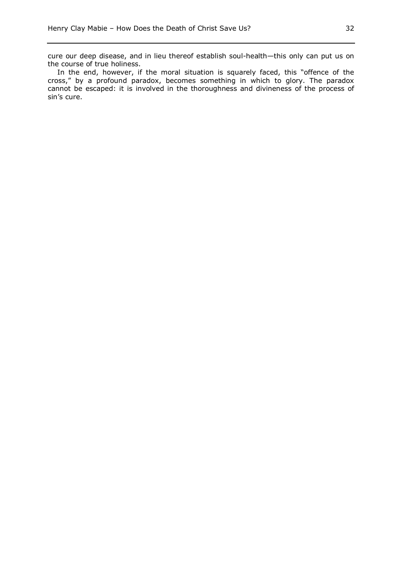cure our deep disease, and in lieu thereof establish soul-health—this only can put us on the course of true holiness.

In the end, however, if the moral situation is squarely faced, this "offence of the cross," by a profound paradox, becomes something in which to glory. The paradox cannot be escaped: it is involved in the thoroughness and divineness of the process of sin's cure.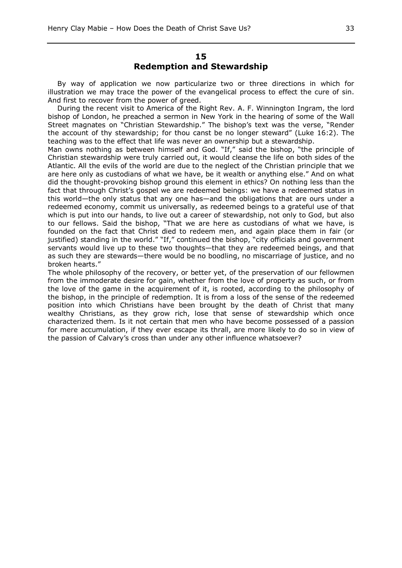By way of application we now particularize two or three directions in which for illustration we may trace the power of the evangelical process to effect the cure of sin. And first to recover from the power of greed.

During the recent visit to America of the Right Rev. A. F. Winnington Ingram, the lord bishop of London, he preached a sermon in New York in the hearing of some of the Wall Street magnates on "Christian Stewardship." The bishop's text was the verse, "Render the account of thy stewardship; for thou canst be no longer steward" (Luke 16:2). The teaching was to the effect that life was never an ownership but a stewardship.

Man owns nothing as between himself and God. "If," said the bishop, "the principle of Christian stewardship were truly carried out, it would cleanse the life on both sides of the Atlantic. All the evils of the world are due to the neglect of the Christian principle that we are here only as custodians of what we have, be it wealth or anything else." And on what did the thought-provoking bishop ground this element in ethics? On nothing less than the fact that through Christ's gospel we are redeemed beings: we have a redeemed status in this world—the only status that any one has—and the obligations that are ours under a redeemed economy, commit us universally, as redeemed beings to a grateful use of that which is put into our hands, to live out a career of stewardship, not only to God, but also to our fellows. Said the bishop, "That we are here as custodians of what we have, is founded on the fact that Christ died to redeem men, and again place them in fair (or justified) standing in the world." "If," continued the bishop, "city officials and government servants would live up to these two thoughts—that they are redeemed beings, and that as such they are stewards—there would be no boodling, no miscarriage of justice, and no broken hearts."

The whole philosophy of the recovery, or better yet, of the preservation of our fellowmen from the immoderate desire for gain, whether from the love of property as such, or from the love of the game in the acquirement of it, is rooted, according to the philosophy of the bishop, in the principle of redemption. It is from a loss of the sense of the redeemed position into which Christians have been brought by the death of Christ that many wealthy Christians, as they grow rich, lose that sense of stewardship which once characterized them. Is it not certain that men who have become possessed of a passion for mere accumulation, if they ever escape its thrall, are more likely to do so in view of the passion of Calvary's cross than under any other influence whatsoever?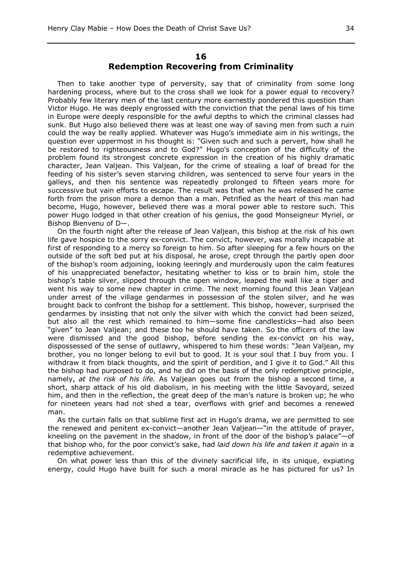## **16 Redemption Recovering from Criminality**

Then to take another type of perversity, say that of criminality from some long hardening process, where but to the cross shall we look for a power equal to recovery? Probably few literary men of the last century more earnestly pondered this question than Victor Hugo. He was deeply engrossed with the conviction that the penal laws of his time in Europe were deeply responsible for the awful depths to which the criminal classes had sunk. But Hugo also believed there was at least one way of saving men from such a ruin could the way be really applied. Whatever was Hugo's immediate aim in his writings, the question ever uppermost in his thought is: "Given such and such a pervert, how shall he be restored to righteousness and to God?" Hugo's conception of the difficulty of the problem found its strongest concrete expression in the creation of his highly dramatic character, Jean Valjean. This Valjean, for the crime of stealing a loaf of bread for the feeding of his sister's seven starving children, was sentenced to serve four years in the galleys, and then his sentence was repeatedly prolonged to fifteen years more for successive but vain efforts to escape. The result was that when he was released he came forth from the prison more a demon than a man. Petrified as the heart of this man had become, Hugo, however, believed there was a moral power able to restore such. This power Hugo lodged in that other creation of his genius, the good Monseigneur Myriel, or Bishop Bienvenu of D—.

On the fourth night after the release of Jean Valjean, this bishop at the risk of his own life gave hospice to the sorry ex-convict. The convict, however, was morally incapable at first of responding to a mercy so foreign to him. So after sleeping for a few hours on the outside of the soft bed put at his disposal, he arose, crept through the partly open door of the bishop's room adjoining, looking leeringly and murderously upon the calm features of his unappreciated benefactor, hesitating whether to kiss or to brain him, stole the bishop's table silver, slipped through the open window, leaped the wall like a tiger and went his way to some new chapter in crime. The next morning found this Jean Valjean under arrest of the village gendarmes in possession of the stolen silver, and he was brought back to confront the bishop for a settlement. This bishop, however, surprised the gendarmes by insisting that not only the silver with which the convict had been seized, but also all the rest which remained to him—some fine candlesticks—had also been "given" to Jean Valjean; and these too he should have taken. So the officers of the law were dismissed and the good bishop, before sending the ex-convict on his way, dispossessed of the sense of outlawry, whispered to him these words: "Jean Valjean, my brother, you no longer belong to evil but to good. It is your soul that I buy from you. I withdraw it from black thoughts, and the spirit of perdition, and I give it to God." All this the bishop had purposed to do, and he did on the basis of the only redemptive principle, namely, *at the risk of his life.* As Valjean goes out from the bishop a second time, a short, sharp attack of his old diabolism, in his meeting with the little Savoyard, seized him, and then in the reflection, the great deep of the man's nature is broken up; he who for nineteen years had not shed a tear, overflows with grief and becomes a renewed man.

As the curtain falls on that sublime first act in Hugo's drama, we are permitted to see the renewed and penitent ex-convict—another Jean Valjean—"in the attitude of prayer, kneeling on the pavement in the shadow, in front of the door of the bishop's palace"—of that bishop who, for the poor convict's sake, had *laid down his life and taken it again* in a redemptive achievement.

On what power less than this of the divinely sacrificial life, in its unique, expiating energy, could Hugo have built for such a moral miracle as he has pictured for us? In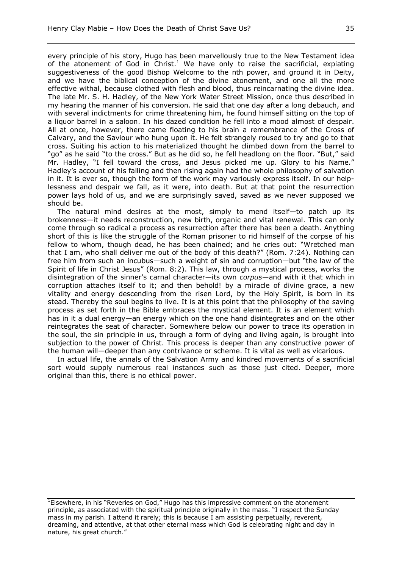every principle of his story, Hugo has been marvellously true to the New Testament idea of the atonement of God in  $Christ.1$  We have only to raise the sacrificial, expiating suggestiveness of the good Bishop Welcome to the nth power, and ground it in Deity, and we have the biblical conception of the divine atonement, and one all the more effective withal, because clothed with flesh and blood, thus reincarnating the divine idea. The late Mr. S. H. Hadley, of the New York Water Street Mission, once thus described in my hearing the manner of his conversion. He said that one day after a long debauch, and with several indictments for crime threatening him, he found himself sitting on the top of a liquor barrel in a saloon. In his dazed condition he fell into a mood almost of despair. All at once, however, there came floating to his brain a remembrance of the Cross of Calvary, and the Saviour who hung upon it. He felt strangely roused to try and go to that cross. Suiting his action to his materialized thought he climbed down from the barrel to "go" as he said "to the cross." But as he did so, he fell headlong on the floor. "But," said Mr. Hadley, "I fell toward the cross, and Jesus picked me up. Glory to his Name." Hadley's account of his falling and then rising again had the whole philosophy of salvation in it. It is ever so, though the form of the work may variously express itself. In our helplessness and despair we fall, as it were, into death. But at that point the resurrection power lays hold of us, and we are surprisingly saved, saved as we never supposed we should be.

The natural mind desires at the most, simply to mend itself—to patch up its brokenness—it needs reconstruction, new birth, organic and vital renewal. This can only come through so radical a process as resurrection after there has been a death. Anything short of this is like the struggle of the Roman prisoner to rid himself of the corpse of his fellow to whom, though dead, he has been chained; and he cries out: "Wretched man that I am, who shall deliver me out of the body of this death?" (Rom. 7:24). Nothing can free him from such an incubus—such a weight of sin and corruption—but "the law of the Spirit of life in Christ Jesus" (Rom. 8:2). This law, through a mystical process, works the disintegration of the sinner's carnal character—its own *corpus*—and with it that which in corruption attaches itself to it; and then behold! by a miracle of divine grace, a new vitality and energy descending from the risen Lord, by the Holy Spirit, is born in its stead. Thereby the soul begins to live. It is at this point that the philosophy of the saving process as set forth in the Bible embraces the mystical element. It is an element which has in it a dual energy—an energy which on the one hand disintegrates and on the other reintegrates the seat of character. Somewhere below our power to trace its operation in the soul, the sin principle in us, through a form of dying and living again, is brought into subjection to the power of Christ. This process is deeper than any constructive power of the human will—deeper than any contrivance or scheme. It is vital as well as vicarious.

In actual life, the annals of the Salvation Army and kindred movements of a sacrificial sort would supply numerous real instances such as those just cited. Deeper, more original than this, there is no ethical power.

<sup>1</sup>Elsewhere, in his "Reveries on God," Hugo has this impressive comment on the atonement principle, as associated with the spiritual principle originally in the mass. "I respect the Sunday mass in my parish. I attend it rarely; this is because I am assisting perpetually, reverent, dreaming, and attentive, at that other eternal mass which God is celebrating night and day in nature, his great church."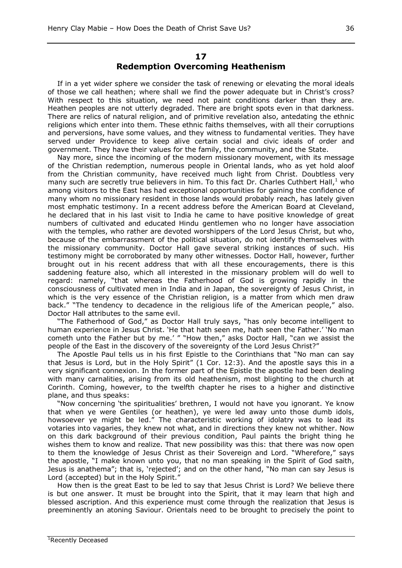## **17 Redemption Overcoming Heathenism**

If in a yet wider sphere we consider the task of renewing or elevating the moral ideals of those we call heathen; where shall we find the power adequate but in Christ's cross? With respect to this situation, we need not paint conditions darker than they are. Heathen peoples are not utterly degraded. There are bright spots even in that darkness. There are relics of natural religion, and of primitive revelation also, antedating the ethnic religions which enter into them. These ethnic faiths themselves, with all their corruptions and perversions, have some values, and they witness to fundamental verities. They have served under Providence to keep alive certain social and civic ideals of order and government. They have their values for the family, the community, and the State.

Nay more, since the incoming of the modern missionary movement, with its message of the Christian redemption, numerous people in Oriental lands, who as yet hold aloof from the Christian community, have received much light from Christ. Doubtless very many such are secretly true believers in him. To this fact Dr. Charles Cuthbert Hall, $^1$  who among visitors to the East has had exceptional opportunities for gaining the confidence of many whom no missionary resident in those lands would probably reach, has lately given most emphatic testimony. In a recent address before the American Board at Cleveland, he declared that in his last visit to India he came to have positive knowledge of great numbers of cultivated and educated Hindu gentlemen who no longer have association with the temples, who rather are devoted worshippers of the Lord Jesus Christ, but who, because of the embarrassment of the political situation, do not identify themselves with the missionary community. Doctor Hall gave several striking instances of such. His testimony might be corroborated by many other witnesses. Doctor Hall, however, further brought out in his recent address that with all these encouragements, there is this saddening feature also, which all interested in the missionary problem will do well to regard: namely, "that whereas the Fatherhood of God is growing rapidly in the consciousness of cultivated men in India and in Japan, the sovereignty of Jesus Christ, in which is the very essence of the Christian religion, is a matter from which men draw back." "The tendency to decadence in the religious life of the American people," also. Doctor Hall attributes to the same evil.

"The Fatherhood of God," as Doctor Hall truly says, "has only become intelligent to human experience in Jesus Christ. 'He that hath seen me, hath seen the Father.' 'No man cometh unto the Father but by me.' " "How then," asks Doctor Hall, "can we assist the people of the East in the discovery of the sovereignty of the Lord Jesus Christ?"

The Apostle Paul tells us in his first Epistle to the Corinthians that "No man can say that Jesus is Lord, but in the Holy Spirit" (1 Cor. 12:3). And the apostle says this in a very significant connexion. In the former part of the Epistle the apostle had been dealing with many carnalities, arising from its old heathenism, most blighting to the church at Corinth. Coming, however, to the twelfth chapter he rises to a higher and distinctive plane, and thus speaks:

"Now concerning 'the spiritualities' brethren, I would not have you ignorant. Ye know that when ye were Gentiles (or heathen), ye were led away unto those dumb idols, howsoever ye might be led." The characteristic working of idolatry was to lead its votaries into vagaries, they knew not what, and in directions they knew not whither. Now on this dark background of their previous condition, Paul paints the bright thing he wishes them to know and realize. That new possibility was this: that there was now open to them the knowledge of Jesus Christ as their Sovereign and Lord. "Wherefore," says the apostle, "I make known unto you, that no man speaking in the Spirit of God saith, Jesus is anathema"; that is, 'rejected'; and on the other hand, "No man can say Jesus is Lord (accepted) but in the Holy Spirit."

How then is the great East to be led to say that Jesus Christ is Lord? We believe there is but one answer. It must be brought into the Spirit, that it may learn that high and blessed ascription. And this experience must come through the realization that Jesus is preeminently an atoning Saviour. Orientals need to be brought to precisely the point to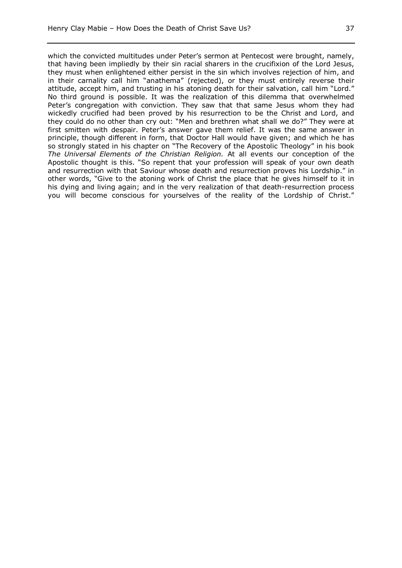which the convicted multitudes under Peter's sermon at Pentecost were brought, namely, that having been impliedly by their sin racial sharers in the crucifixion of the Lord Jesus, they must when enlightened either persist in the sin which involves rejection of him, and in their carnality call him "anathema" (rejected), or they must entirely reverse their attitude, accept him, and trusting in his atoning death for their salvation, call him "Lord." No third ground is possible. It was the realization of this dilemma that overwhelmed Peter's congregation with conviction. They saw that that same Jesus whom they had wickedly crucified had been proved by his resurrection to be the Christ and Lord, and they could do no other than cry out: "Men and brethren what shall we do?" They were at first smitten with despair. Peter's answer gave them relief. It was the same answer in principle, though different in form, that Doctor Hall would have given; and which he has so strongly stated in his chapter on "The Recovery of the Apostolic Theology" in his book *The Universal Elements of the Christian Religion.* At all events our conception of the Apostolic thought is this. "So repent that your profession will speak of your own death and resurrection with that Saviour whose death and resurrection proves his Lordship." in other words, "Give to the atoning work of Christ the place that he gives himself to it in his dying and living again; and in the very realization of that death-resurrection process you will become conscious for yourselves of the reality of the Lordship of Christ."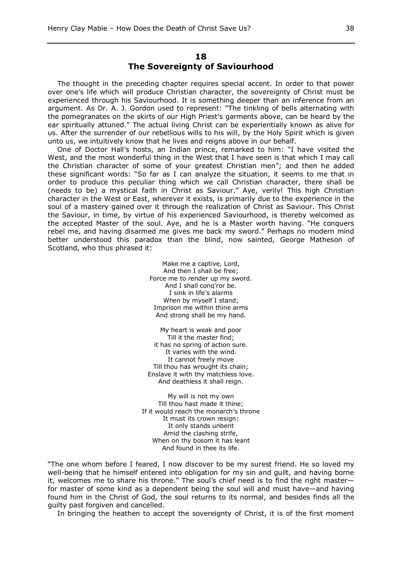## **18 The Sovereignty of Saviourhood**

The thought in the preceding chapter requires special accent. In order to that power over one's life which will produce Christian character, the sovereignty of Christ must be experienced through his Saviourhood. It is something deeper than an inference from an argument. As Dr. A. J. Gordon used to represent: "The tinkling of bells alternating with the pomegranates on the skirts of our High Priest's garments above, can be heard by the ear spiritually attuned." The actual living Christ can be experientially known as alive for us. After the surrender of our rebellious wills to his will, by the Holy Spirit which is given unto us, we intuitively know that he lives and reigns above in our behalf.

One of Doctor Hall's hosts, an Indian prince, remarked to him: "I have visited the West, and the most wonderful thing in the West that I have seen is that which I may call the Christian character of some of your greatest Christian men"; and then he added these significant words: "So far as I can analyze the situation, it seems to me that in order to produce this peculiar thing which we call Christian character, there shall be (needs to be) a mystical faith in Christ as Saviour." Aye, verily! This high Christian character in the West or East, wherever it exists, is primarily due to the experience in the soul of a mastery gained over it through the realization of Christ as Saviour. This Christ the Saviour, in time, by virtue of his experienced Saviourhood, is thereby welcomed as the accepted Master of the soul. Aye, and he is a Master worth having. "He conquers rebel me, and having disarmed me gives me back my sword." Perhaps no modern mind better understood this paradox than the blind, now sainted, George Matheson of Scotland, who thus phrased it:

> Make me a captive, Lord, And then I shall be free; Force me to render up my sword. And I shall conq'ror be. I sink in life's alarms When by myself I stand; Imprison me within thine arms And strong shall be my hand.

My heart is weak and poor Till it the master find; it has no spring of action sure. It varies with the wind. It cannot freely move Till thou has wrought its chain; Enslave it with thy matchless love. And deathless it shall reign.

My will is not my own Till thou hast made it thine; If it would reach the monarch's throne It must its crown resign: It only stands unbent Amid the clashing strife, When on thy bosom it has leant And found in thee its life.

"The one whom before I feared, I now discover to be my surest friend. He so loved my well-being that he himself entered into obligation for my sin and guilt, and having borne it, welcomes me to share his throne." The soul's chief need is to find the right master for master of some kind as a dependent being the soul will and must have—and having found him in the Christ of God, the soul returns to its normal, and besides finds all the guilty past forgiven and cancelled.

In bringing the heathen to accept the sovereignty of Christ, it is of the first moment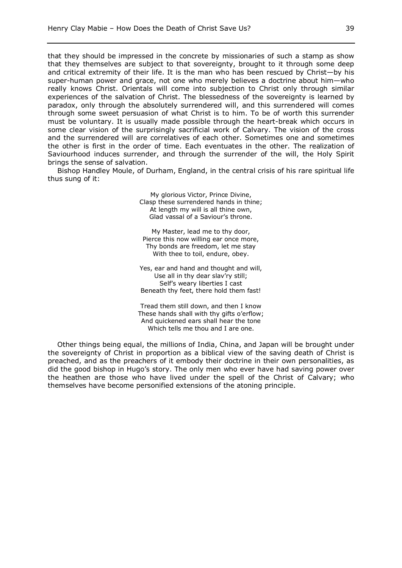that they should be impressed in the concrete by missionaries of such a stamp as show that they themselves are subject to that sovereignty, brought to it through some deep and critical extremity of their life. It is the man who has been rescued by Christ—by his super-human power and grace, not one who merely believes a doctrine about him—who really knows Christ. Orientals will come into subjection to Christ only through similar experiences of the salvation of Christ. The blessedness of the sovereignty is learned by paradox, only through the absolutely surrendered will, and this surrendered will comes through some sweet persuasion of what Christ is to him. To be of worth this surrender must be voluntary. It is usually made possible through the heart-break which occurs in some clear vision of the surprisingly sacrificial work of Calvary. The vision of the cross and the surrendered will are correlatives of each other. Sometimes one and sometimes the other is first in the order of time. Each eventuates in the other. The realization of Saviourhood induces surrender, and through the surrender of the will, the Holy Spirit brings the sense of salvation.

Bishop Handley Moule, of Durham, England, in the central crisis of his rare spiritual life thus sung of it:

> My glorious Victor, Prince Divine, Clasp these surrendered hands in thine; At length my will is all thine own, Glad vassal of a Saviour's throne.

My Master, lead me to thy door, Pierce this now willing ear once more, Thy bonds are freedom, let me stay With thee to toil, endure, obey.

Yes, ear and hand and thought and will, Use all in thy dear slav'ry still; Self's weary liberties I cast Beneath thy feet, there hold them fast!

Tread them still down, and then I know These hands shall with thy gifts o'erflow; And quickened ears shall hear the tone Which tells me thou and I are one.

Other things being equal, the millions of India, China, and Japan will be brought under the sovereignty of Christ in proportion as a biblical view of the saving death of Christ is preached, and as the preachers of it embody their doctrine in their own personalities, as did the good bishop in Hugo's story. The only men who ever have had saving power over the heathen are those who have lived under the spell of the Christ of Calvary; who themselves have become personified extensions of the atoning principle.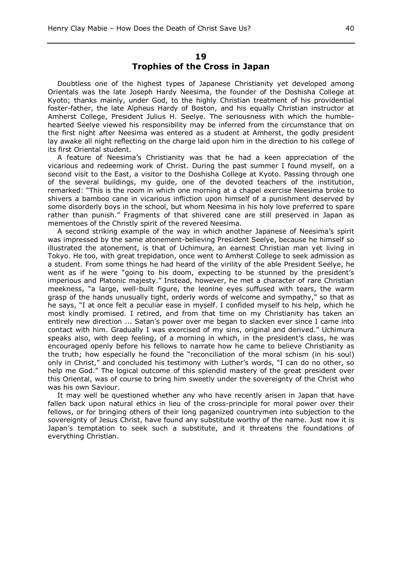## **19 Trophies of the Cross in Japan**

Doubtless one of the highest types of Japanese Christianity yet developed among Orientals was the late Joseph Hardy Neesima, the founder of the Doshisha College at Kyoto; thanks mainly, under God, to the highly Christian treatment of his providential foster-father, the late Alpheus Hardy of Boston, and his equally Christian instructor at Amherst College, President Julius H. Seelye. The seriousness with which the humblehearted Seelye viewed his responsibility may be inferred from the circumstance that on the first night after Neesima was entered as a student at Amherst, the godly president lay awake all night reflecting on the charge laid upon him in the direction to his college of its first Oriental student.

A feature of Neesima's Christianity was that he had a keen appreciation of the vicarious and redeeming work of Christ. During the past summer I found myself, on a second visit to the East, a visitor to the Doshisha College at Kyoto. Passing through one of the several buildings, my guide, one of the devoted teachers of the institution, remarked: "This is the room in which one morning at a chapel exercise Neesima broke to shivers a bamboo cane in vicarious infliction upon himself of a punishment deserved by some disorderly boys in the school, but whom Neesima in his holy love preferred to spare rather than punish." Fragments of that shivered cane are still preserved in Japan as mementoes of the Christly spirit of the revered Neesima.

A second striking example of the way in which another Japanese of Neesima's spirit was impressed by the same atonement-believing President Seelye, because he himself so illustrated the atonement, is that of Uchimura, an earnest Christian man yet living in Tokyo. He too, with great trepidation, once went to Amherst College to seek admission as a student. From some things he had heard of the virility of the able President Seelye, he went as if he were "going to his doom, expecting to be stunned by the president's imperious and Platonic majesty." Instead, however, he met a character of rare Christian meekness, "a large, well-built figure, the leonine eyes suffused with tears, the warm grasp of the hands unusually tight, orderly words of welcome and sympathy," so that as he says, "I at once felt a peculiar ease in myself. I confided myself to his help, which he most kindly promised. I retired, and from that time on my Christianity has taken an entirely new direction ... Satan's power over me began to slacken ever since I came into contact with him. Gradually I was exorcised of my sins, original and derived." Uchimura speaks also, with deep feeling, of a morning in which, in the president's class, he was encouraged openly before his fellows to narrate how he came to believe Christianity as the truth; how especially he found the "reconciliation of the moral schism (in his soul) only in Christ," and concluded his testimony with Luther's words, "I can do no other, so help me God." The logical outcome of this splendid mastery of the great president over this Oriental, was of course to bring him sweetly under the sovereignty of the Christ who was his own Saviour.

It may well be questioned whether any who have recently arisen in Japan that have fallen back upon natural ethics in lieu of the cross-principle for moral power over their fellows, or for bringing others of their long paganized countrymen into subjection to the sovereignty of Jesus Christ, have found any substitute worthy of the name. Just now it is Japan's temptation to seek such a substitute, and it threatens the foundations of everything Christian.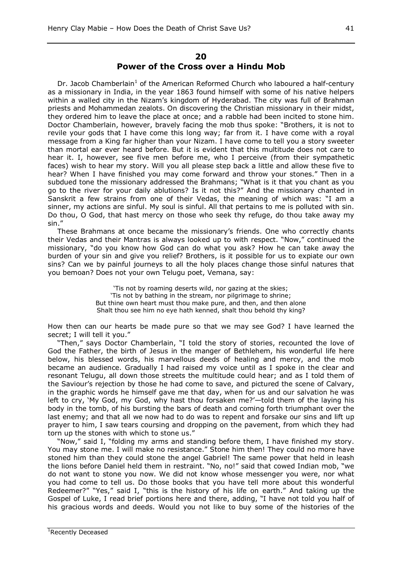#### **20 Power of the Cross over a Hindu Mob**

Dr. Jacob Chamberlain<sup>1</sup> of the American Reformed Church who laboured a half-century as a missionary in India, in the year 1863 found himself with some of his native helpers within a walled city in the Nizam's kingdom of Hyderabad. The city was full of Brahman priests and Mohammedan zealots. On discovering the Christian missionary in their midst, they ordered him to leave the place at once; and a rabble had been incited to stone him. Doctor Chamberlain, however, bravely facing the mob thus spoke: "Brothers, it is not to revile your gods that I have come this long way; far from it. I have come with a royal message from a King far higher than your Nizam. I have come to tell you a story sweeter than mortal ear ever heard before. But it is evident that this multitude does not care to hear it. I, however, see five men before me, who I perceive (from their sympathetic faces) wish to hear my story. Will you all please step back a little and allow these five to hear? When I have finished you may come forward and throw your stones." Then in a subdued tone the missionary addressed the Brahmans; "What is it that you chant as you go to the river for your daily ablutions? Is it not this?" And the missionary chanted in Sanskrit a few strains from one of their Vedas, the meaning of which was: "I am a sinner, my actions are sinful. My soul is sinful. All that pertains to me is polluted with sin. Do thou, O God, that hast mercy on those who seek thy refuge, do thou take away my sin."

These Brahmans at once became the missionary's friends. One who correctly chants their Vedas and their Mantras is always looked up to with respect. "Now," continued the missionary, "do you know how God can do what you ask? How he can take away the burden of your sin and give you relief? Brothers, is it possible for us to expiate our own sins? Can we by painful journeys to all the holy places change those sinful natures that you bemoan? Does not your own Telugu poet, Vemana, say:

> 'Tis not by roaming deserts wild, nor gazing at the skies; 'Tis not by bathing in the stream, nor pilgrimage to shrine; But thine own heart must thou make pure, and then, and then alone Shalt thou see him no eye hath kenned, shalt thou behold thy king?

How then can our hearts be made pure so that we may see God? I have learned the secret; I will tell it you."

"Then," says Doctor Chamberlain, "I told the story of stories, recounted the love of God the Father, the birth of Jesus in the manger of Bethlehem, his wonderful life here below, his blessed words, his marvellous deeds of healing and mercy, and the mob became an audience. Gradually I had raised my voice until as I spoke in the clear and resonant Telugu, all down those streets the multitude could hear; and as I told them of the Saviour's rejection by those he had come to save, and pictured the scene of Calvary, in the graphic words he himself gave me that day, when for us and our salvation he was left to cry, 'My God, my God, why hast thou forsaken me?'—told them of the laying his body in the tomb, of his bursting the bars of death and coming forth triumphant over the last enemy; and that all we now had to do was to repent and forsake our sins and lift up prayer to him, I saw tears coursing and dropping on the pavement, from which they had torn up the stones with which to stone us."

"Now," said I, "folding my arms and standing before them, I have finished my story. You may stone me. I will make no resistance." Stone him then! They could no more have stoned him than they could stone the angel Gabriel! The same power that held in leash the lions before Daniel held them in restraint. "No, no!" said that cowed Indian mob, "we do not want to stone you now. We did not know whose messenger you were, nor what you had come to tell us. Do those books that you have tell more about this wonderful Redeemer?" "Yes," said I, "this is the history of his life on earth." And taking up the Gospel of Luke, I read brief portions here and there, adding, "I have not told you half of his gracious words and deeds. Would you not like to buy some of the histories of the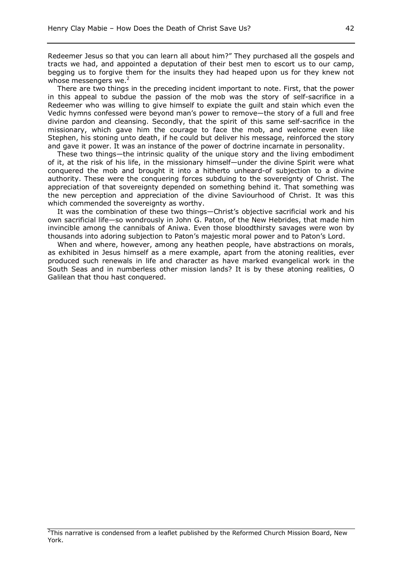Redeemer Jesus so that you can learn all about him?" They purchased all the gospels and tracts we had, and appointed a deputation of their best men to escort us to our camp, begging us to forgive them for the insults they had heaped upon us for they knew not whose messengers we. $2$ 

There are two things in the preceding incident important to note. First, that the power in this appeal to subdue the passion of the mob was the story of self-sacrifice in a Redeemer who was willing to give himself to expiate the guilt and stain which even the Vedic hymns confessed were beyond man's power to remove—the story of a full and free divine pardon and cleansing. Secondly, that the spirit of this same self-sacrifice in the missionary, which gave him the courage to face the mob, and welcome even like Stephen, his stoning unto death, if he could but deliver his message, reinforced the story and gave it power. It was an instance of the power of doctrine incarnate in personality.

These two things—the intrinsic quality of the unique story and the living embodiment of it, at the risk of his life, in the missionary himself—under the divine Spirit were what conquered the mob and brought it into a hitherto unheard-of subjection to a divine authority. These were the conquering forces subduing to the sovereignty of Christ. The appreciation of that sovereignty depended on something behind it. That something was the new perception and appreciation of the divine Saviourhood of Christ. It was this which commended the sovereignty as worthy.

It was the combination of these two things—Christ's objective sacrificial work and his own sacrificial life—so wondrously in John G. Paton, of the New Hebrides, that made him invincible among the cannibals of Aniwa. Even those bloodthirsty savages were won by thousands into adoring subjection to Paton's majestic moral power and to Paton's Lord.

When and where, however, among any heathen people, have abstractions on morals, as exhibited in Jesus himself as a mere example, apart from the atoning realities, ever produced such renewals in life and character as have marked evangelical work in the South Seas and in numberless other mission lands? It is by these atoning realities, O Galilean that thou hast conquered.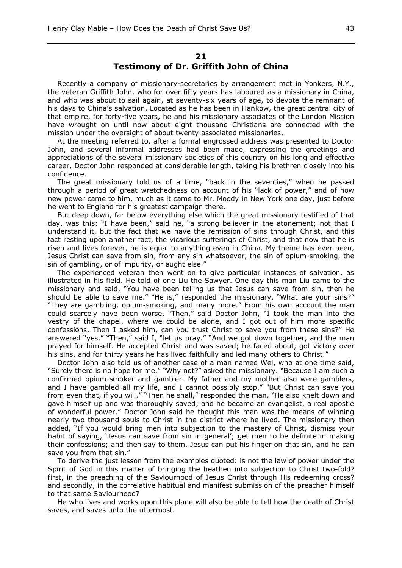## **21 Testimony of Dr. Griffith John of China**

Recently a company of missionary-secretaries by arrangement met in Yonkers, N.Y., the veteran Griffith John, who for over fifty years has laboured as a missionary in China, and who was about to sail again, at seventy-six years of age, to devote the remnant of his days to China's salvation. Located as he has been in Hankow, the great central city of that empire, for forty-five years, he and his missionary associates of the London Mission have wrought on until now about eight thousand Christians are connected with the mission under the oversight of about twenty associated missionaries.

At the meeting referred to, after a formal engrossed address was presented to Doctor John, and several informal addresses had been made, expressing the greetings and appreciations of the several missionary societies of this country on his long and effective career, Doctor John responded at considerable length, taking his brethren closely into his confidence.

The great missionary told us of a time, "back in the seventies," when he passed through a period of great wretchedness on account of his "lack of power," and of how new power came to him, much as it came to Mr. Moody in New York one day, just before he went to England for his greatest campaign there.

But deep down, far below everything else which the great missionary testified of that day, was this: "I have been," said he, "a strong believer in the atonement; not that I understand it, but the fact that we have the remission of sins through Christ, and this fact resting upon another fact, the vicarious sufferings of Christ, and that now that he is risen and lives forever, he is equal to anything even in China. My theme has ever been, Jesus Christ can save from sin, from any sin whatsoever, the sin of opium-smoking, the sin of gambling, or of impurity, or aught else."

The experienced veteran then went on to give particular instances of salvation, as illustrated in his field. He told of one Liu the Sawyer. One day this man Liu came to the missionary and said, "You have been telling us that Jesus can save from sin, then he should be able to save me." "He is," responded the missionary. "What are your sins?" "They are gambling, opium-smoking, and many more." From his own account the man could scarcely have been worse. "Then," said Doctor John, "I took the man into the vestry of the chapel, where we could be alone, and I got out of him more specific confessions. Then I asked him, can you trust Christ to save you from these sins?" He answered "yes." "Then," said I, "let us pray." "And we got down together, and the man prayed for himself. He accepted Christ and was saved; he faced about, got victory over his sins, and for thirty years he has lived faithfully and led many others to Christ."

Doctor John also told us of another case of a man named Wei, who at one time said, "Surely there is no hope for me." "Why not?" asked the missionary. "Because I am such a confirmed opium-smoker and gambler. My father and my mother also were gamblers, and I have gambled all my life, and I cannot possibly stop." *"*But Christ can save you from even that, if you will." "Then he shall," responded the man. "He also knelt down and gave himself up and was thoroughly saved; and he became an evangelist, a real apostle of wonderful power." Doctor John said he thought this man was the means of winning nearly two thousand souls to Christ in the district where he lived. The missionary then added, "If you would bring men into subjection to the mastery of Christ, dismiss your habit of saying, 'Jesus can save from sin in general'; get men to be definite in making their confessions; and then say to them, Jesus can put his finger on that sin, and he can save you from that sin."

To derive the just lesson from the examples quoted: is not the law of power under the Spirit of God in this matter of bringing the heathen into subjection to Christ two-fold? first, in the preaching of the Saviourhood of Jesus Christ through His redeeming cross? and secondly, in the correlative habitual and manifest submission of the preacher himself to that same Saviourhood?

He who lives and works upon this plane will also be able to tell how the death of Christ saves, and saves unto the uttermost.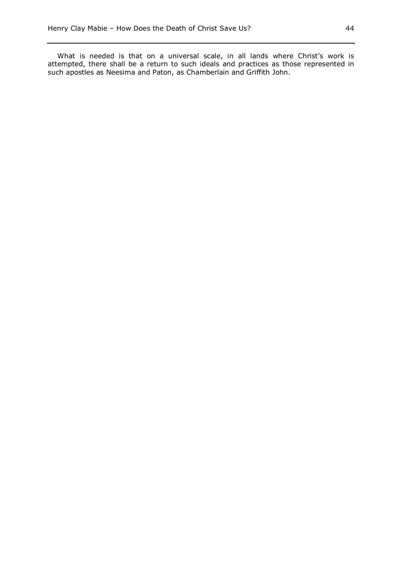What is needed is that on a universal scale, in all lands where Christ's work is attempted, there shall be a return to such ideals and practices as those represented in such apostles as Neesima and Paton, as Chamberlain and Griffith John.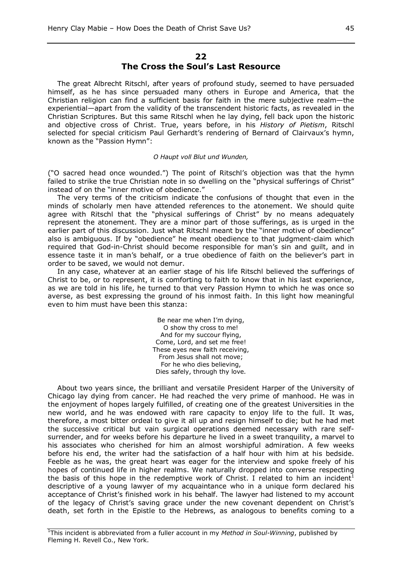## **22 The Cross the Soul's Last Resource**

The great Albrecht Ritschl, after years of profound study, seemed to have persuaded himself, as he has since persuaded many others in Europe and America, that the Christian religion can find a sufficient basis for faith in the mere subjective realm—the experiential—apart from the validity of the transcendent historic facts, as revealed in the Christian Scriptures. But this same Ritschl when he lay dying, fell back upon the historic and objective cross of Christ. True, years before, in his *History of Pietism*, Ritschl selected for special criticism Paul Gerhardt's rendering of Bernard of Clairvaux's hymn, known as the "Passion Hymn":

#### *O Haupt voll Blut und Wunden,*

("O sacred head once wounded.") The point of Ritschl's objection was that the hymn failed to strike the true Christian note in so dwelling on the "physical sufferings of Christ" instead of on the "inner motive of obedience."

The very terms of the criticism indicate the confusions of thought that even in the minds of scholarly men have attended references to the atonement. We should quite agree with Ritschl that the "physical sufferings of Christ" by no means adequately represent the atonement. They are a minor part of those sufferings, as is urged in the earlier part of this discussion. Just what Ritschl meant by the "inner motive of obedience" also is ambiguous. If by "obedience" he meant obedience to that judgment-claim which required that God-in-Christ should become responsible for man's sin and guilt, and in essence taste it in man's behalf, or a true obedience of faith on the believer's part in order to be saved, we would not demur.

In any case, whatever at an earlier stage of his life Ritschl believed the sufferings of Christ to be, or to represent, it is comforting to faith to know that in his last experience, as we are told in his life, he turned to that very Passion Hymn to which he was once so averse, as best expressing the ground of his inmost faith. In this light how meaningful even to him must have been this stanza:

> Be near me when I'm dying, O show thy cross to me! And for my succour flying, Come, Lord, and set me free! These eyes new faith receiving, From Jesus shall not move; For he who dies believing, Dies safely, through thy love.

About two years since, the brilliant and versatile President Harper of the University of Chicago lay dying from cancer. He had reached the very prime of manhood. He was in the enjoyment of hopes largely fulfilled, of creating one of the greatest Universities in the new world, and he was endowed with rare capacity to enjoy life to the full. It was, therefore, a most bitter ordeal to give it all up and resign himself to die; but he had met the successive critical but vain surgical operations deemed necessary with rare selfsurrender, and for weeks before his departure he lived in a sweet tranquility, a marvel to his associates who cherished for him an almost worshipful admiration. A few weeks before his end, the writer had the satisfaction of a half hour with him at his bedside. Feeble as he was, the great heart was eager for the interview and spoke freely of his hopes of continued life in higher realms. We naturally dropped into converse respecting the basis of this hope in the redemptive work of Christ. I related to him an incident<sup>1</sup> descriptive of a young lawyer of my acquaintance who in a unique form declared his acceptance of Christ's finished work in his behalf. The lawyer had listened to my account of the legacy of Christ's saving grace under the new covenant dependent on Christ's death, set forth in the Epistle to the Hebrews, as analogous to benefits coming to a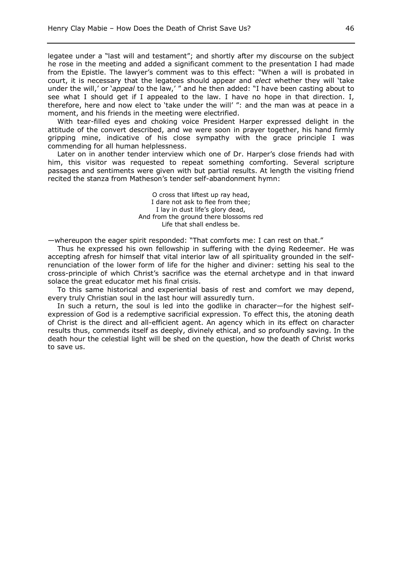legatee under a "last will and testament"; and shortly after my discourse on the subject he rose in the meeting and added a significant comment to the presentation I had made from the Epistle. The lawyer's comment was to this effect: "When a will is probated in court, it is necessary that the legatees should appear and *elect* whether they will 'take under the will,' or '*appeal* to the law,' " and he then added: "I have been casting about to see what I should get if I appealed to the law. I have no hope in that direction. I, therefore, here and now elect to 'take under the will' ": and the man was at peace in a moment, and his friends in the meeting were electrified.

With tear-filled eyes and choking voice President Harper expressed delight in the attitude of the convert described, and we were soon in prayer together, his hand firmly gripping mine, indicative of his close sympathy with the grace principle I was commending for all human helplessness.

Later on in another tender interview which one of Dr. Harper's close friends had with him, this visitor was requested to repeat something comforting. Several scripture passages and sentiments were given with but partial results. At length the visiting friend recited the stanza from Matheson's tender self-abandonment hymn:

> O cross that liftest up ray head, I dare not ask to flee from thee; I lay in dust life's glory dead, And from the ground there blossoms red Life that shall endless be.

—whereupon the eager spirit responded: "That comforts me: I can rest on that."

Thus he expressed his own fellowship in suffering with the dying Redeemer. He was accepting afresh for himself that vital interior law of all spirituality grounded in the selfrenunciation of the lower form of life for the higher and diviner: setting his seal to the cross-principle of which Christ's sacrifice was the eternal archetype and in that inward solace the great educator met his final crisis.

To this same historical and experiential basis of rest and comfort we may depend, every truly Christian soul in the last hour will assuredly turn.

In such a return, the soul is led into the godlike in character—for the highest selfexpression of God is a redemptive sacrificial expression. To effect this, the atoning death of Christ is the direct and all-efficient agent. An agency which in its effect on character results thus, commends itself as deeply, divinely ethical, and so profoundly saving. In the death hour the celestial light will be shed on the question, how the death of Christ works to save us.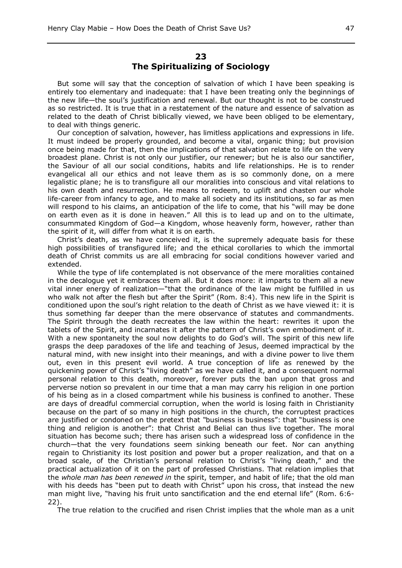## **23 The Spiritualizing of Sociology**

But some will say that the conception of salvation of which I have been speaking is entirely too elementary and inadequate: that I have been treating only the beginnings of the new life—the soul's justification and renewal. But our thought is not to be construed as so restricted. It is true that in a restatement of the nature and essence of salvation as related to the death of Christ biblically viewed, we have been obliged to be elementary, to deal with things generic.

Our conception of salvation, however, has limitless applications and expressions in life. It must indeed be properly grounded, and become a vital, organic thing; but provision once being made for that, then the implications of that salvation relate to life on the very broadest plane. Christ is not only our justifier, our renewer; but he is also our sanctifier, the Saviour of all our social conditions, habits and life relationships. He is to render evangelical all our ethics and not leave them as is so commonly done, on a mere legalistic plane; he is to transfigure all our moralities into conscious and vital relations to his own death and resurrection. He means to redeem, to uplift and chasten our whole life-career from infancy to age, and to make all society and its institutions, so far as men will respond to his claims, an anticipation of the life to come, that his "will may be done on earth even as it is done in heaven." All this is to lead up and on to the ultimate, consummated Kingdom of God—a Kingdom, whose heavenly form, however, rather than the spirit of it, will differ from what it is on earth.

Christ's death, as we have conceived it, is the supremely adequate basis for these high possibilities of transfigured life; and the ethical corollaries to which the immortal death of Christ commits us are all embracing for social conditions however varied and extended.

While the type of life contemplated is not observance of the mere moralities contained in the decalogue yet it embraces them all. But it does more: it imparts to them all a new vital inner energy of realization—"that the ordinance of the law might be fulfilled in us who walk not after the flesh but after the Spirit" (Rom. 8:4). This new life in the Spirit is conditioned upon the soul's right relation to the death of Christ as we have viewed it: it is thus something far deeper than the mere observance of statutes and commandments. The Spirit through the death recreates the law within the heart: rewrites it upon the tablets of the Spirit, and incarnates it after the pattern of Christ's own embodiment of it. With a new spontaneity the soul now delights to do God's will. The spirit of this new life grasps the deep paradoxes of the life and teaching of Jesus, deemed impractical by the natural mind, with new insight into their meanings, and with a divine power to live them out, even in this present evil world. A true conception of life as renewed by the quickening power of Christ's "living death" as we have called it, and a consequent normal personal relation to this death, moreover, forever puts the ban upon that gross and perverse notion so prevalent in our time that a man may carry his religion in one portion of his being as in a closed compartment while his business is confined to another. These are days of dreadful commercial corruption, when the world is losing faith in Christianity because on the part of so many in high positions in the church, the corruptest practices are justified or condoned on the pretext that *"*business is business": that "business is one thing and religion is another": that Christ and Belial can thus live together. The moral situation has become such; there has arisen such a widespread loss of confidence in the church—that the very foundations seem sinking beneath our feet. Nor can anything regain to Christianity its lost position and power but a proper realization, and that on a broad scale, of the Christian's personal relation to Christ's "living death," and the practical actualization of it on the part of professed Christians. That relation implies that the *whole man has been renewed in* the spirit, temper, and habit of life; that the old man with his deeds has "been put to death with Christ" upon his cross, that instead the new man might live, "having his fruit unto sanctification and the end eternal life" (Rom. 6:6- 22).

The true relation to the crucified and risen Christ implies that the whole man as a unit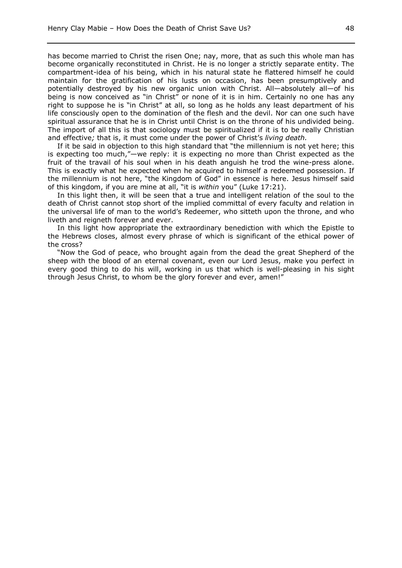has become married to Christ the risen One; nay, more, that as such this whole man has become organically reconstituted in Christ. He is no longer a strictly separate entity. The compartment-idea of his being, which in his natural state he flattered himself he could maintain for the gratification of his lusts on occasion, has been presumptively and potentially destroyed by his new organic union with Christ. All—absolutely all—of his being is now conceived as "in Christ" or none of it is in him. Certainly no one has any right to suppose he is "in Christ" at all, so long as he holds any least department of his life consciously open to the domination of the flesh and the devil. Nor can one such have spiritual assurance that he is in Christ until Christ is on the throne of his undivided being. The import of all this is that sociology must be spiritualized if it is to be really Christian and effective*;* that is, it must come under the power of Christ's *living death.*

If it be said in objection to this high standard that "the millennium is not yet here; this is expecting too much,"—we reply: it is expecting no more than Christ expected as the fruit of the travail of his soul when in his death anguish he trod the wine-press alone. This is exactly what he expected when he acquired to himself a redeemed possession. If the millennium is not here, "the Kingdom of God" in essence is here. Jesus himself said of this kingdom, if you are mine at all, "it is *within* you" (Luke 17:21).

In this light then, it will be seen that a true and intelligent relation of the soul to the death of Christ cannot stop short of the implied committal of every faculty and relation in the universal life of man to the world's Redeemer, who sitteth upon the throne, and who liveth and reigneth forever and ever.

In this light how appropriate the extraordinary benediction with which the Epistle to the Hebrews closes, almost every phrase of which is significant of the ethical power of the cross?

"Now the God of peace, who brought again from the dead the great Shepherd of the sheep with the blood of an eternal covenant, even our Lord Jesus, make you perfect in every good thing to do his will, working in us that which is well-pleasing in his sight through Jesus Christ, to whom be the glory forever and ever, amen!"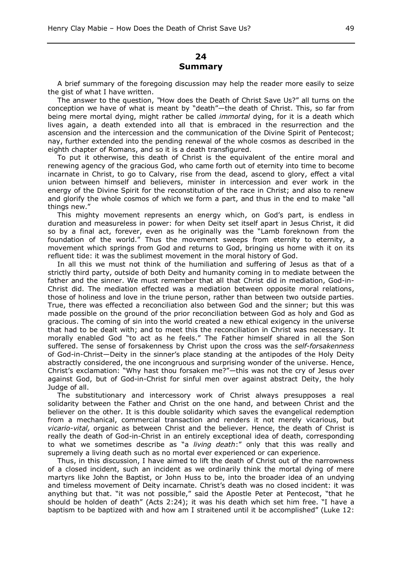## **24 Summary**

A brief summary of the foregoing discussion may help the reader more easily to seize the gist of what I have written.

The answer to the question, *"*How does the Death of Christ Save Us?" all turns on the conception we have of what is meant by "death"—the death of Christ. This, so far from being mere mortal dying, might rather be called *immortal* dying, for it is a death which lives again, a death extended into all that is embraced in the resurrection and the ascension and the intercession and the communication of the Divine Spirit of Pentecost; nay, further extended into the pending renewal of the whole cosmos as described in the eighth chapter of Romans, and so it is a death transfigured.

To put it otherwise, this death of Christ is the equivalent of the entire moral and renewing agency of the gracious God, who came forth out of eternity into time to become incarnate in Christ, to go to Calvary, rise from the dead, ascend to glory, effect a vital union between himself and believers, minister in intercession and ever work in the energy of the Divine Spirit for the reconstitution of the race in Christ; and also to renew and glorify the whole cosmos of which we form a part, and thus in the end to make "all things new."

This mighty movement represents an energy which, on God's part, is endless in duration and measureless in power: for when Deity set itself apart in Jesus Christ, it did so by a final act, forever, even as he originally was the "Lamb foreknown from the foundation of the world." Thus the movement sweeps from eternity to eternity, a movement which springs from God and returns to God, bringing us home with it on its refluent tide: it was the sublimest movement in the moral history of God.

In all this we must not think of the humiliation and suffering of Jesus as that of a strictly third party, outside of both Deity and humanity coming in to mediate between the father and the sinner. We must remember that all that Christ did in mediation, God-in-Christ did. The mediation effected was a mediation between opposite moral relations, those of holiness and love in the triune person, rather than between two outside parties. True, there was effected a reconciliation also between God and the sinner; but this was made possible on the ground of the prior reconciliation between God as holy and God as gracious. The coming of sin into the world created a new ethical exigency in the universe that had to be dealt with; and to meet this the reconciliation in Christ was necessary. It morally enabled God "to act as he feels." The Father himself shared in all the Son suffered. The sense of forsakenness by Christ upon the cross was the *self-forsakenness* of God-in-Christ—Deity in the sinner's place standing at the antipodes of the Holy Deity abstractly considered, the one incongruous and surprising wonder of the universe. Hence, Christ's exclamation: "Why hast thou forsaken me?"—this was not the cry of Jesus over against God, but of God-in-Christ for sinful men over against abstract Deity, the holy Judge of all.

The substitutionary and intercessory work of Christ always presupposes a real solidarity between the Father and Christ on the one hand, and between Christ and the believer on the other. It is this double solidarity which saves the evangelical redemption from a mechanical, commercial transaction and renders it not merely vicarious, but *vicario-vital,* organic as between Christ and the believer. Hence, the death of Christ is really the death of God-in-Christ in an entirely exceptional idea of death, corresponding to what we sometimes describe as "a *living death*:" only that this was really and supremely a living death such as no mortal ever experienced or can experience.

Thus, in this discussion, I have aimed to lift the death of Christ out of the narrowness of a closed incident, such an incident as we ordinarily think the mortal dying of mere martyrs like John the Baptist, or John Huss to be, into the broader idea of an undying and timeless movement of Deity incarnate. Christ's death was no closed incident: it was anything but that. "it was not possible," said the Apostle Peter at Pentecost, "that he should be holden of death" (Acts 2:24); it was his death which set him free. "I have a baptism to be baptized with and how am I straitened until it be accomplished" (Luke 12: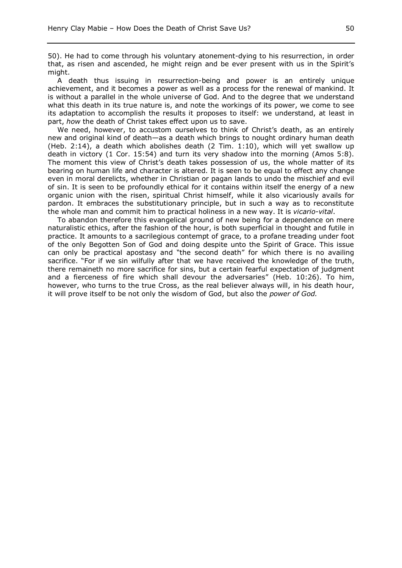50). He had to come through his voluntary atonement-dying to his resurrection, in order that, as risen and ascended, he might reign and be ever present with us in the Spirit's might.

A death thus issuing in resurrection-being and power is an entirely unique achievement, and it becomes a power as well as a process for the renewal of mankind. It is without a parallel in the whole universe of God. And to the degree that we understand what this death in its true nature is, and note the workings of its power, we come to see its adaptation to accomplish the results it proposes to itself: we understand, at least in part, *how* the death of Christ takes effect upon us to save.

We need, however, to accustom ourselves to think of Christ's death, as an entirely new and original kind of death—as a death which brings to nought ordinary human death (Heb. 2:14), a death which abolishes death (2 Tim. 1:10), which will yet swallow up death in victory (1 Cor. 15:54) and turn its very shadow into the morning (Amos 5:8). The moment this view of Christ's death takes possession of us, the whole matter of its bearing on human life and character is altered. It is seen to be equal to effect any change even in moral derelicts, whether in Christian or pagan lands to undo the mischief and evil of sin. It is seen to be profoundly ethical for it contains within itself the energy of a new organic union with the risen, spiritual Christ himself, while it also vicariously avails for pardon. It embraces the substitutionary principle, but in such a way as to reconstitute the whole man and commit him to practical holiness in a new way. It is *vicario-vital*.

To abandon therefore this evangelical ground of new being for a dependence on mere naturalistic ethics, after the fashion of the hour, is both superficial in thought and futile in practice. It amounts to a sacrilegious contempt of grace, to a profane treading under foot of the only Begotten Son of God and doing despite unto the Spirit of Grace. This issue can only be practical apostasy and "the second death" for which there is no availing sacrifice. "For if we sin wilfully after that we have received the knowledge of the truth, there remaineth no more sacrifice for sins, but a certain fearful expectation of judgment and a fierceness of fire which shall devour the adversaries" (Heb. 10:26). To him, however, who turns to the true Cross, as the real believer always will, in his death hour, it will prove itself to be not only the wisdom of God, but also the *power of God.*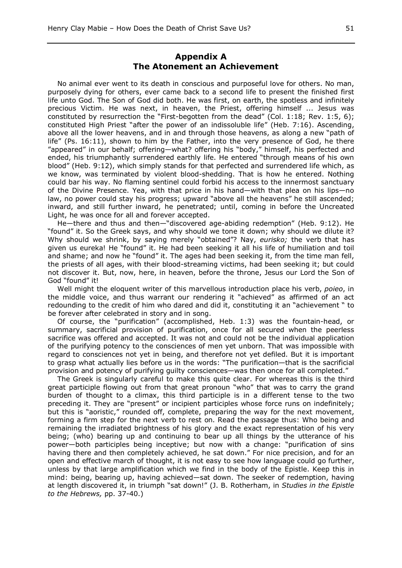## **Appendix A The Atonement an Achievement**

No animal ever went to its death in conscious and purposeful love for others. No man, purposely dying for others, ever came back to a second life to present the finished first life unto God. The Son of God did both. He was first, on earth, the spotless and infinitely precious Victim. He was next, in heaven, the Priest, offering himself ... Jesus was constituted by resurrection the "First-begotten from the dead" (Col. 1:18; Rev. 1:5, 6); constituted High Priest "after the power of an indissoluble life" (Heb. 7:16). Ascending, above all the lower heavens, and in and through those heavens, as along a new "path of life" (Ps. 16:11), shown to him by the Father, into the very presence of God, he there "appeared" in our behalf; offering—what? offering his "body," himself, his perfected and ended, his triumphantly surrendered earthly life. He entered "through means of his own blood" (Heb. 9:12), which simply stands for that perfected and surrendered life which, as we know, was terminated by violent blood-shedding. That is how he entered. Nothing could bar his way. No flaming sentinel could forbid his access to the innermost sanctuary of the Divine Presence. Yea, with that price in his hand—with that plea on his lips—no law, no power could stay his progress; upward "above all the heavens" he still ascended; inward, and still further inward, he penetrated; until, coming in before the Uncreated Light, he was once for all and forever accepted.

He—there and thus and then—"discovered age-abiding redemption" (Heb. 9:12). He "found" it. So the Greek says, and why should we tone it down; why should we dilute it? Why should we shrink, by saying merely "obtained"? Nay, *eurisko;* the verb that has given us eureka! He "found" it. He had been seeking it all his life of humiliation and toil and shame; and now he "found" it. The ages had been seeking it, from the time man fell, the priests of all ages, with their blood-streaming victims, had been seeking it; but could not discover it. But, now, here, in heaven, before the throne, Jesus our Lord the Son of God "found" it!

Well might the eloquent writer of this marvellous introduction place his verb, *poieo*, in the middle voice, and thus warrant our rendering it "achieved" as affirmed of an act redounding to the credit of him who dared and did it, constituting it an "achievement " to be forever after celebrated in story and in song.

Of course, the "purification" (accomplished, Heb. 1:3) was the fountain-head, or summary, sacrificial provision of purification, once for all secured when the peerless sacrifice was offered and accepted. It was not and could not be the individual application of the purifying potency to the consciences of men yet unborn. That was impossible with regard to consciences not yet in being, and therefore not yet defiled. But it is important to grasp what actually lies before us in the words: "The purification—that is the sacrificial provision and potency of purifying guilty consciences—was then once for all completed."

The Greek is singularly careful to make this quite clear. For whereas this is the third great participle flowing out from that great pronoun "who" that was to carry the grand burden of thought to a climax, this third participle is in a different tense to the two preceding it. They are "present" or incipient participles whose force runs on indefinitely; but this is "aoristic," rounded off, complete, preparing the way for the next movement, forming a firm step for the next verb to rest on. Read the passage thus: Who being and remaining the irradiated brightness of his glory and the exact representation of his very being; (who) bearing up and continuing to bear up all things by the utterance of his power—both participles being inceptive; but now with a change: "purification of sins having there and then completely achieved, he sat down." For nice precision, and for an open and effective march of thought, it is not easy to see how language could go further, unless by that large amplification which we find in the body of the Epistle. Keep this in mind: being, bearing up, having achieved—sat down. The seeker of redemption, having at length discovered it, in triumph "sat down!" (J. B. Rotherham, in *Studies in the Epistle to the Hebrews,* pp. 37-40.)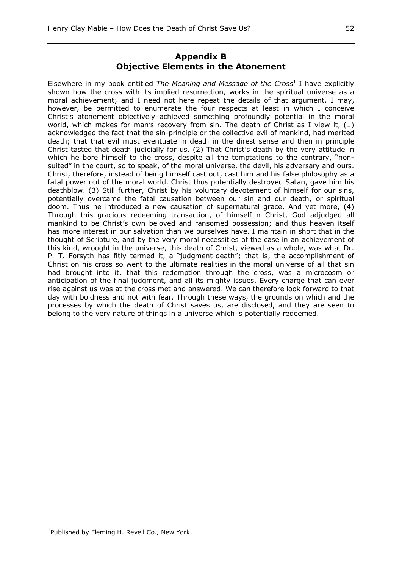## **Appendix B Objective Elements in the Atonement**

Elsewhere in my book entitled *The Meaning and Message of the Cross*<sup>1</sup> I have explicitly shown how the cross with its implied resurrection, works in the spiritual universe as a moral achievement; and I need not here repeat the details of that argument. I may, however, be permitted to enumerate the four respects at least in which I conceive Christ's atonement objectively achieved something profoundly potential in the moral world, which makes for man's recovery from sin. The death of Christ as I view it, (1) acknowledged the fact that the sin-principle or the collective evil of mankind, had merited death; that that evil must eventuate in death in the direst sense and then in principle Christ tasted that death judicially for us. (2) That Christ's death by the very attitude in which he bore himself to the cross, despite all the temptations to the contrary, "nonsuited" in the court, so to speak, of the moral universe, the devil, his adversary and ours. Christ, therefore, instead of being himself cast out, cast him and his false philosophy as a fatal power out of the moral world. Christ thus potentially destroyed Satan, gave him his deathblow. (3) Still further, Christ by his voluntary devotement of himself for our sins, potentially overcame the fatal causation between our sin and our death, or spiritual doom. Thus he introduced a new causation of supernatural grace. And yet more, (4) Through this gracious redeeming transaction, of himself n Christ, God adjudged all mankind to be Christ's own beloved and ransomed possession; and thus heaven itself has more interest in our salvation than we ourselves have. I maintain in short that in the thought of Scripture, and by the very moral necessities of the case in an achievement of this kind, wrought in the universe, this death of Christ, viewed as a whole, was what Dr. P. T. Forsyth has fitly termed it, a "judgment-death"; that is, the accomplishment of Christ on his cross so went to the ultimate realities in the moral universe of ail that sin had brought into it, that this redemption through the cross, was a microcosm or anticipation of the final judgment, and all its mighty issues. Every charge that can ever rise against us was at the cross met and answered. We can therefore look forward to that day with boldness and not with fear. Through these ways, the grounds on which and the processes by which the death of Christ saves us, are disclosed, and they are seen to belong to the very nature of things in a universe which is potentially redeemed.